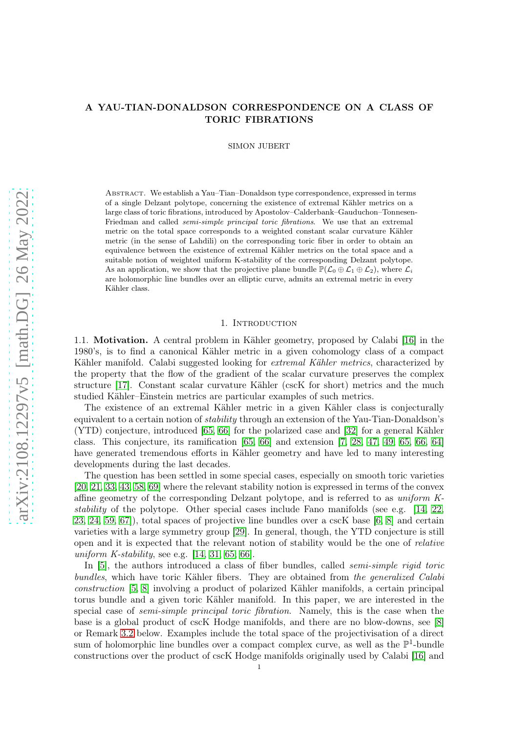# A YAU-TIAN-DONALDSON CORRESPONDENCE ON A CLASS OF TORIC FIBRATIONS

SIMON JUBERT

Abstract. We establish a Yau–Tian–Donaldson type correspondence, expressed in terms of a single Delzant polytope, concerning the existence of extremal Kähler metrics on a large class of toric fibrations, introduced by Apostolov–Calderbank–Gauduchon–Tonnesen-Friedman and called *semi-simple principal toric fibrations*. We use that an extremal metric on the total space corresponds to a weighted constant scalar curvature Kähler metric (in the sense of Lahdili) on the corresponding toric fiber in order to obtain an equivalence between the existence of extremal Kähler metrics on the total space and a suitable notion of weighted uniform K-stability of the corresponding Delzant polytope. As an application, we show that the projective plane bundle  $\mathbb{P}(\mathcal{L}_0 \oplus \mathcal{L}_1 \oplus \mathcal{L}_2)$ , where  $\mathcal{L}_i$ are holomorphic line bundles over an elliptic curve, admits an extremal metric in every Kähler class.

# 1. INTRODUCTION

1.1. Motivation. A central problem in Kähler geometry, proposed by Calabi [\[16\]](#page-24-0) in the 1980's, is to find a canonical Kähler metric in a given cohomology class of a compact Kähler manifold. Calabi suggested looking for *extremal Kähler metrics*, characterized by the property that the flow of the gradient of the scalar curvature preserves the complex structure [\[17\]](#page-24-1). Constant scalar curvature Kähler (cscK for short) metrics and the much studied Kähler–Einstein metrics are particular examples of such metrics.

The existence of an extremal Kähler metric in a given Kähler class is conjecturally equivalent to a certain notion of *stability* through an extension of the Yau-Tian-Donaldson's (YTD) conjecture, introduced [\[65,](#page-26-0) [66\]](#page-26-1) for the polarized case and [\[32\]](#page-25-0) for a general Kähler class. This conjecture, its ramification [\[65,](#page-26-0) [66\]](#page-26-1) and extension [\[7,](#page-24-2) [28,](#page-25-1) [47,](#page-25-2) [49,](#page-25-3) [65,](#page-26-0) [66,](#page-26-1) [64\]](#page-26-2) have generated tremendous efforts in Kähler geometry and have led to many interesting developments during the last decades.

The question has been settled in some special cases, especially on smooth toric varieties [\[20,](#page-24-3) [21,](#page-24-4) [33,](#page-25-4) [43,](#page-25-5) [58,](#page-25-6) [69\]](#page-26-3) where the relevant stability notion is expressed in terms of the convex affine geometry of the corresponding Delzant polytope, and is referred to as uniform Kstability of the polytope. Other special cases include Fano manifolds (see e.g. [\[14,](#page-24-5) [22,](#page-24-6) [23,](#page-24-7) [24,](#page-24-8) [59,](#page-25-7) [67\]](#page-26-4)), total spaces of projective line bundles over a cscK base [\[6,](#page-24-9) [8\]](#page-24-10) and certain varieties with a large symmetry group [\[29\]](#page-25-8). In general, though, the YTD conjecture is still open and it is expected that the relevant notion of stability would be the one of relative uniform K-stability, see e.g.  $[14, 31, 65, 66]$  $[14, 31, 65, 66]$  $[14, 31, 65, 66]$  $[14, 31, 65, 66]$ .

In [\[5\]](#page-24-11), the authors introduced a class of fiber bundles, called *semi-simple rigid toric* bundles, which have toric Kähler fibers. They are obtained from the generalized Calabi construction [\[5,](#page-24-11) [8\]](#page-24-10) involving a product of polarized Kähler manifolds, a certain principal torus bundle and a given toric Kähler manifold. In this paper, we are interested in the special case of *semi-simple principal toric fibration*. Namely, this is the case when the base is a global product of cscK Hodge manifolds, and there are no blow-downs, see [\[8\]](#page-24-10) or Remark [3.2](#page-5-0) below. Examples include the total space of the projectivisation of a direct sum of holomorphic line bundles over a compact complex curve, as well as the  $\mathbb{P}^1$ -bundle constructions over the product of cscK Hodge manifolds originally used by Calabi [\[16\]](#page-24-0) and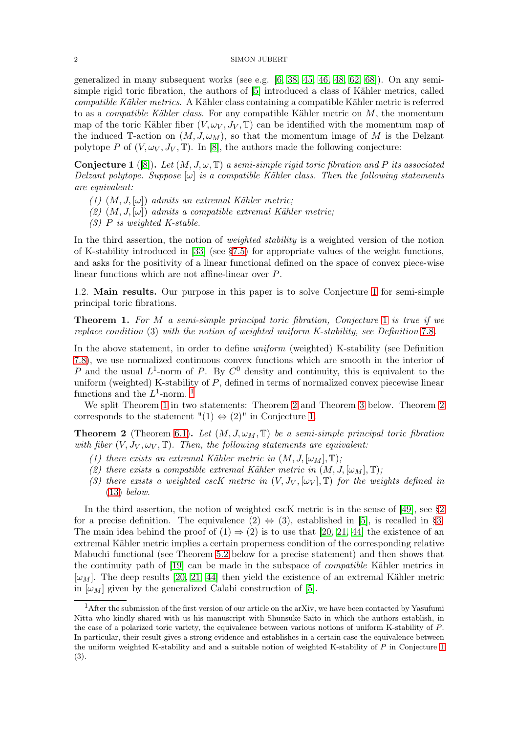generalized in many subsequent works (see e.g. [\[6,](#page-24-9) [38,](#page-25-10) [45,](#page-25-11) [46,](#page-25-12) [48,](#page-25-13) [62,](#page-26-5) [68\]](#page-26-6)). On any semisimple rigid toric fibration, the authors of [\[5\]](#page-24-11) introduced a class of Kähler metrics, called compatible Kähler metrics. A Kähler class containing a compatible Kähler metric is referred to as a *compatible Kähler class*. For any compatible Kähler metric on  $M$ , the momentum map of the toric Kähler fiber  $(V, \omega_V, J_V, \mathbb{T})$  can be identified with the momentum map of the induced T-action on  $(M, J, \omega_M)$ , so that the momentum image of M is the Delzant polytope P of  $(V, \omega_V, J_V, \mathbb{T})$ . In [\[8\]](#page-24-10), the authors made the following conjecture:

<span id="page-1-0"></span>**Conjecture 1** ([\[8\]](#page-24-10)). Let  $(M, J, \omega, \mathbb{T})$  a semi-simple rigid toric fibration and P its associated Delzant polytope. Suppose  $[\omega]$  is a compatible Kähler class. Then the following statements are equivalent:

- $(1)$   $(M, J, [\omega])$  admits an extremal Kähler metric;
- $(2)$   $(M, J, [\omega])$  admits a compatible extremal Kähler metric;
- $(3)$  P is weighted K-stable.

In the third assertion, the notion of weighted stability is a weighted version of the notion of K-stability introduced in [\[33\]](#page-25-4) (see [§7.5\)](#page-20-0) for appropriate values of the weight functions, and asks for the positivity of a linear functional defined on the space of convex piece-wise linear functions which are not affine-linear over P.

1.2. Main results. Our purpose in this paper is to solve Conjecture [1](#page-1-0) for semi-simple principal toric fibrations.

<span id="page-1-2"></span>**Theorem [1](#page-1-0).** For M a semi-simple principal toric fibration, Conjecture 1 is true if we replace condition (3) with the notion of weighted uniform K-stability, see Definition [7](#page-20-1).8.

In the above statement, in order to define uniform (weighted) K-stability (see Definition [7.8\)](#page-20-1), we use normalized continuous convex functions which are smooth in the interior of P and the usual  $L^1$ -norm of P. By  $C^0$  density and continuity, this is equivalent to the uniform (weighted) K-stability of P, defined in terms of normalized convex piecewise linear functions and the  $L^1$  $L^1$ -norm.<sup>1</sup>

We split Theorem [1](#page-1-2) in two statements: Theorem [2](#page-1-3) and Theorem [3](#page-2-0) below. Theorem [2](#page-1-3) corresponds to the statement " $(1) \Leftrightarrow (2)$ " in Conjecture [1.](#page-1-0)

<span id="page-1-3"></span>**Theorem 2** (Theorem [6.1\)](#page-12-0). Let  $(M, J, \omega_M, \mathbb{T})$  be a semi-simple principal toric fibration with fiber  $(V, J_V, \omega_V, \mathbb{T})$ . Then, the following statements are equivalent:

- (1) there exists an extremal Kähler metric in  $(M, J, [\omega_M], \mathbb{T});$
- (2) there exists a compatible extremal Kähler metric in  $(M, J, [\omega_M], \mathbb{T})$ ;
- (3) there exists a weighted cscK metric in  $(V, J_V, [\omega_V], \mathbb{T})$  for the weights defined in [\(13\)](#page-7-0) below.

In the third assertion, the notion of weighted cscK metric is in the sense of [\[49\]](#page-25-3), see [§2](#page-3-0) for a precise definition. The equivalence  $(2) \Leftrightarrow (3)$ , established in [\[5\]](#page-24-11), is recalled in [§3.](#page-4-0) The main idea behind the proof of  $(1) \Rightarrow (2)$  is to use that [\[20,](#page-24-3) [21,](#page-24-4) [44\]](#page-25-14) the existence of an extremal Kähler metric implies a certain properness condition of the corresponding relative Mabuchi functional (see Theorem [5.2](#page-12-1) below for a precise statement) and then shows that the continuity path of [\[19\]](#page-24-12) can be made in the subspace of compatible Kähler metrics in  $[\omega_M]$ . The deep results [\[20,](#page-24-3) [21,](#page-24-4) [44\]](#page-25-14) then yield the existence of an extremal Kähler metric in  $[\omega_M]$  given by the generalized Calabi construction of [\[5\]](#page-24-11).

<span id="page-1-1"></span><sup>&</sup>lt;sup>1</sup>After the submission of the first version of our article on the arXiv, we have been contacted by Yasufumi Nitta who kindly shared with us his manuscript with Shunsuke Saito in which the authors establish, in the case of a polarized toric variety, the equivalence between various notions of uniform K-stability of P. In particular, their result gives a strong evidence and establishes in a certain case the equivalence between the uniform weighted K-stability and and a suitable notion of weighted K-stability of  $P$  in Conjecture [1](#page-1-0) (3).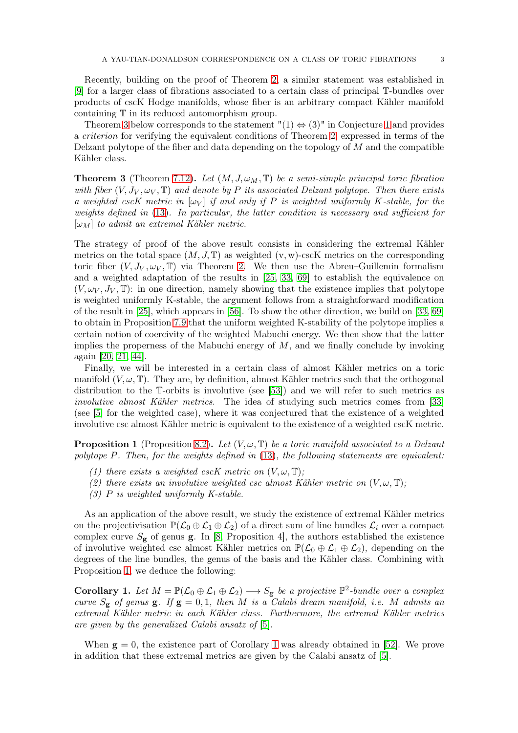Recently, building on the proof of Theorem [2,](#page-1-3) a similar statement was established in [\[9\]](#page-24-13) for a larger class of fibrations associated to a certain class of principal T-bundles over products of cscK Hodge manifolds, whose fiber is an arbitrary compact Kähler manifold containing T in its reduced automorphism group.

Theorem [3](#page-2-0) below corresponds to the statement " $(1) \Leftrightarrow (3)$ " in Conjecture [1](#page-1-0) and provides a criterion for verifying the equivalent conditions of Theorem [2,](#page-1-3) expressed in terms of the Delzant polytope of the fiber and data depending on the topology of  $M$  and the compatible Kähler class.

<span id="page-2-0"></span>**Theorem 3** (Theorem [7.12\)](#page-22-0). Let  $(M, J, \omega_M, \mathbb{T})$  be a semi-simple principal toric fibration with fiber  $(V, J_V, \omega_V, \mathbb{T})$  and denote by P its associated Delzant polytope. Then there exists a weighted cscK metric in  $[\omega_V]$  if and only if P is weighted uniformly K-stable, for the weights defined in [\(13\)](#page-7-0). In particular, the latter condition is necessary and sufficient for  $[\omega_M]$  to admit an extremal Kähler metric.

The strategy of proof of the above result consists in considering the extremal Kähler metrics on the total space  $(M, J, \mathbb{T})$  as weighted  $(v, w)$ -cscK metrics on the corresponding toric fiber  $(V, J_V, \omega_V, \mathbb{T})$  via Theorem [2.](#page-1-3) We then use the Abreu–Guillemin formalism and a weighted adaptation of the results in [\[25,](#page-24-14) [33,](#page-25-4) [69\]](#page-26-3) to establish the equivalence on  $(V, \omega_V, J_V, \mathbb{T})$ : in one direction, namely showing that the existence implies that polytope is weighted uniformly K-stable, the argument follows from a straightforward modification of the result in [\[25\]](#page-24-14), which appears in [\[56\]](#page-25-15). To show the other direction, we build on [\[33,](#page-25-4) [69\]](#page-26-3) to obtain in Proposition [7.9](#page-20-2) that the uniform weighted K-stability of the polytope implies a certain notion of coercivity of the weighted Mabuchi energy. We then show that the latter implies the properness of the Mabuchi energy of  $M$ , and we finally conclude by invoking again [\[20,](#page-24-3) [21,](#page-24-4) [44\]](#page-25-14).

Finally, we will be interested in a certain class of almost Kähler metrics on a toric manifold  $(V, \omega, \mathbb{T})$ . They are, by definition, almost Kähler metrics such that the orthogonal distribution to the T-orbits is involutive (see [\[53\]](#page-25-16)) and we will refer to such metrics as involutive almost Kähler metrics. The idea of studying such metrics comes from [\[33\]](#page-25-4) (see [\[5\]](#page-24-11) for the weighted case), where it was conjectured that the existence of a weighted involutive csc almost Kähler metric is equivalent to the existence of a weighted cscK metric.

<span id="page-2-1"></span>**Proposition 1** (Proposition [8.2\)](#page-23-0). Let  $(V, \omega, \mathbb{T})$  be a toric manifold associated to a Delzant polytope P. Then, for the weights defined in [\(13\)](#page-7-0), the following statements are equivalent:

- (1) there exists a weighted cscK metric on  $(V, \omega, \mathbb{T});$
- (2) there exists an involutive weighted csc almost Kähler metric on  $(V, \omega, T)$ ;
- (3)  $P$  is weighted uniformly K-stable.

As an application of the above result, we study the existence of extremal Kähler metrics on the projectivisation  $\mathbb{P}(\mathcal{L}_0 \oplus \mathcal{L}_1 \oplus \mathcal{L}_2)$  of a direct sum of line bundles  $\mathcal{L}_i$  over a compact complex curve  $S_{\mathbf{g}}$  of genus **g**. In [\[8,](#page-24-10) Proposition 4], the authors established the existence of involutive weighted csc almost Kähler metrics on  $\mathbb{P}(\mathcal{L}_0 \oplus \mathcal{L}_1 \oplus \mathcal{L}_2)$ , depending on the degrees of the line bundles, the genus of the basis and the Kähler class. Combining with Proposition [1,](#page-2-1) we deduce the following:

<span id="page-2-2"></span>**Corollary 1.** Let  $M = \mathbb{P}(\mathcal{L}_0 \oplus \mathcal{L}_1 \oplus \mathcal{L}_2) \longrightarrow S_g$  be a projective  $\mathbb{P}^2$ -bundle over a complex curve  $S_g$  of genus  $g$ . If  $g = 0, 1$ , then M is a Calabi dream manifold, i.e. M admits an extremal Kähler metric in each Kähler class. Furthermore, the extremal Kähler metrics are given by the generalized Calabi ansatz of [\[5\]](#page-24-11).

When  $g = 0$ , the existence part of Corollary [1](#page-2-2) was already obtained in [\[52\]](#page-25-17). We prove in addition that these extremal metrics are given by the Calabi ansatz of [\[5\]](#page-24-11).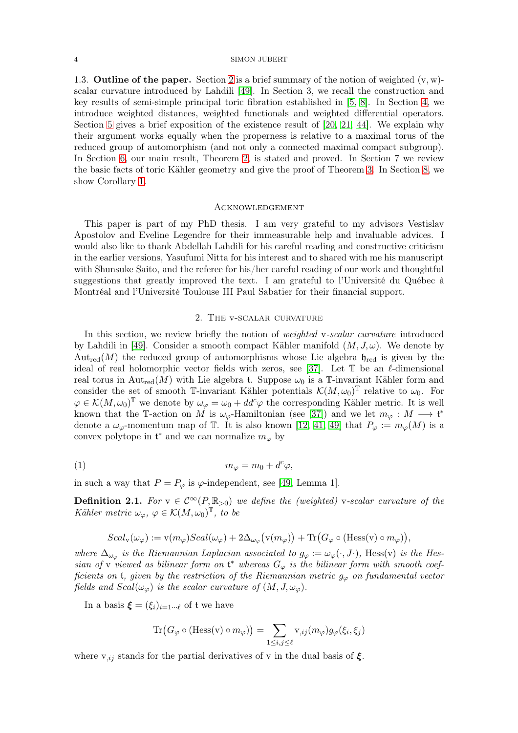1.3. **Outline of the paper.** Section [2](#page-3-0) is a brief summary of the notion of weighted  $(v, w)$ scalar curvature introduced by Lahdili [\[49\]](#page-25-3). In Section 3, we recall the construction and key results of semi-simple principal toric fibration established in [\[5,](#page-24-11) [8\]](#page-24-10). In Section [4,](#page-7-1) we introduce weighted distances, weighted functionals and weighted differential operators. Section [5](#page-12-2) gives a brief exposition of the existence result of [\[20,](#page-24-3) [21,](#page-24-4) [44\]](#page-25-14). We explain why their argument works equally when the properness is relative to a maximal torus of the reduced group of automorphism (and not only a connected maximal compact subgroup). In Section [6,](#page-12-3) our main result, Theorem [2,](#page-1-3) is stated and proved. In Section 7 we review the basic facts of toric Kähler geometry and give the proof of Theorem [3.](#page-2-0) In Section [8,](#page-22-1) we show Corollary [1.](#page-2-2)

## **ACKNOWLEDGEMENT**

This paper is part of my PhD thesis. I am very grateful to my advisors Vestislav Apostolov and Eveline Legendre for their immeasurable help and invaluable advices. I would also like to thank Abdellah Lahdili for his careful reading and constructive criticism in the earlier versions, Yasufumi Nitta for his interest and to shared with me his manuscript with Shunsuke Saito, and the referee for his/her careful reading of our work and thoughtful suggestions that greatly improved the text. I am grateful to l'Université du Québec à Montréal and l'Université Toulouse III Paul Sabatier for their financial support.

## 2. The v-scalar curvature

<span id="page-3-0"></span>In this section, we review briefly the notion of *weighted* v-scalar curvature introduced by Lahdili in [\[49\]](#page-25-3). Consider a smooth compact Kähler manifold  $(M, J, \omega)$ . We denote by  $Aut_{red}(M)$  the reduced group of automorphisms whose Lie algebra  $\mathfrak{h}_{red}$  is given by the ideal of real holomorphic vector fields with zeros, see [\[37\]](#page-25-18). Let  $\mathbb T$  be an  $\ell$ -dimensional real torus in Aut<sub>red</sub>(M) with Lie algebra t. Suppose  $\omega_0$  is a T-invariant Kähler form and consider the set of smooth T-invariant Kähler potentials  $\mathcal{K}(M,\omega_0)$ <sup>T</sup> relative to  $\omega_0$ . For  $\varphi \in \mathcal{K}(M,\omega_0)^\mathbb{T}$  we denote by  $\omega_\varphi = \omega_0 + dd^c \varphi$  the corresponding Kähler metric. It is well known that the T-action on M is  $\omega_{\varphi}$ -Hamiltonian (see [\[37\]](#page-25-18)) and we let  $m_{\varphi}: M \longrightarrow \mathfrak{t}^*$ denote a  $\omega_{\varphi}$ -momentum map of T. It is also known [\[12,](#page-24-15) [41,](#page-25-19) [49\]](#page-25-3) that  $P_{\varphi} := m_{\varphi}(M)$  is a convex polytope in  $\mathfrak{t}^*$  and we can normalize  $m_\varphi$  by

$$
(1) \t m_{\varphi} = m_0 + d^c \varphi,
$$

in such a way that  $P = P_{\varphi}$  is  $\varphi$ -independent, see [\[49,](#page-25-3) Lemma 1].

<span id="page-3-1"></span>**Definition 2.1.** For  $v \in C^{\infty}(P,\mathbb{R}_{>0})$  we define the (weighted) v-scalar curvature of the Kähler metric  $\omega_{\varphi}, \varphi \in \mathcal{K}(M, \omega_0)^{\mathbb{T}},$  to be

<span id="page-3-2"></span>
$$
Scal_{v}(\omega_{\varphi}) := v(m_{\varphi})Scal(\omega_{\varphi}) + 2\Delta_{\omega_{\varphi}}(v(m_{\varphi})) + \text{Tr}(G_{\varphi} \circ (\text{Hess}(v) \circ m_{\varphi})),
$$

where  $\Delta_{\omega_{\varphi}}$  is the Riemannian Laplacian associated to  $g_{\varphi} := \omega_{\varphi}(\cdot, J \cdot)$ , Hess(v) is the Hessian of v viewed as bilinear form on  $\mathfrak{t}^*$  whereas  $G_{\varphi}$  is the bilinear form with smooth coefficients on t, given by the restriction of the Riemannian metric  $g_{\varphi}$  on fundamental vector fields and  $Scal(\omega_{\varphi})$  is the scalar curvature of  $(M, J, \omega_{\varphi})$ .

In a basis  $\boldsymbol{\xi} = (\xi_i)_{i=1...N}$  of t we have

$$
\operatorname{Tr}\bigl(G_{\varphi}\circ(\operatorname{Hess}(v)\circ m_{\varphi})\bigr)=\sum_{1\leq i,j\leq\ell}v_{\varphi}(m_{\varphi})g_{\varphi}(\xi_i,\xi_j)
$$

where  $v_{i,j}$  stands for the partial derivatives of v in the dual basis of  $\xi$ .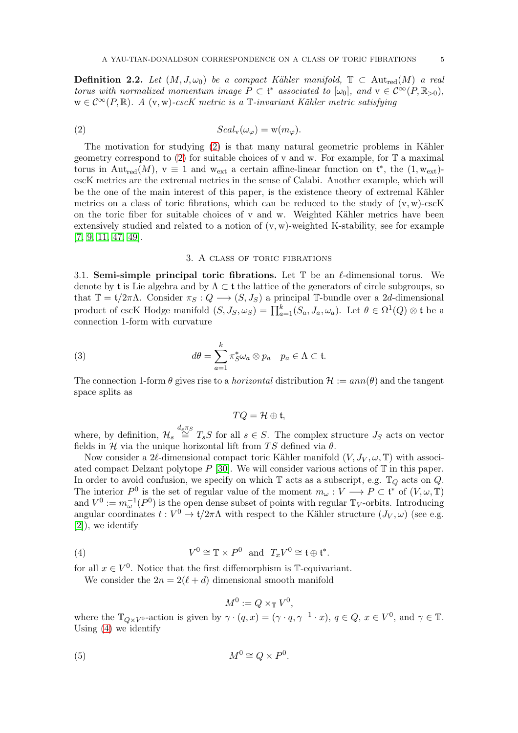<span id="page-4-6"></span>**Definition 2.2.** Let  $(M, J, \omega_0)$  be a compact Kähler manifold,  $\mathbb{T} \subset \text{Aut}_{red}(M)$  a real torus with normalized momentum image  $P \subset \mathfrak{t}^*$  associated to  $[\omega_0]$ , and  $v \in C^{\infty}(P, \mathbb{R}_{>0})$ ,  $w \in C^{\infty}(P, \mathbb{R})$ . A (v, w)-cscK metric is a  $\mathbb{T}$ -invariant Kähler metric satisfying

(2) 
$$
Scal_{v}(\omega_{\varphi}) = w(m_{\varphi}).
$$

The motivation for studying [\(2\)](#page-4-1) is that many natural geometric problems in Kähler geometry correspond to [\(2\)](#page-4-1) for suitable choices of v and w. For example, for  $\mathbb T$  a maximal torus in Aut<sub>red</sub> $(M)$ ,  $v \equiv 1$  and w<sub>ext</sub> a certain affine-linear function on  $\mathfrak{t}^*$ , the  $(1, w_{ext})$ cscK metrics are the extremal metrics in the sense of Calabi. Another example, which will be the one of the main interest of this paper, is the existence theory of extremal Kähler metrics on a class of toric fibrations, which can be reduced to the study of  $(v, w)$ -cscK on the toric fiber for suitable choices of v and w. Weighted Kähler metrics have been extensively studied and related to a notion of  $(v, w)$ -weighted K-stability, see for example [\[7,](#page-24-2) [9,](#page-24-13) [11,](#page-24-16) [47,](#page-25-2) [49\]](#page-25-3).

## <span id="page-4-1"></span>3. A class of toric fibrations

<span id="page-4-5"></span><span id="page-4-0"></span>3.1. Semi-simple principal toric fibrations. Let  $\mathbb T$  be an  $\ell$ -dimensional torus. We denote by t is Lie algebra and by  $\Lambda \subset \mathfrak{t}$  the lattice of the generators of circle subgroups, so that  $\mathbb{T} = t/2\pi\Lambda$ . Consider  $\pi_S : Q \longrightarrow (S, J_S)$  a principal T-bundle over a 2d-dimensional product of cscK Hodge manifold  $(S, J_S, \omega_S) = \prod_{a=1}^k (S_a, J_a, \omega_a)$ . Let  $\theta \in \Omega^1(Q) \otimes \mathfrak{t}$  be a connection 1-form with curvature

(3) 
$$
d\theta = \sum_{a=1}^{k} \pi_S^* \omega_a \otimes p_a \quad p_a \in \Lambda \subset \mathfrak{t}.
$$

The connection 1-form  $\theta$  gives rise to a *horizontal* distribution  $\mathcal{H} := ann(\theta)$  and the tangent space splits as

<span id="page-4-4"></span>
$$
TQ = \mathcal{H} \oplus \mathfrak{t},
$$

where, by definition,  $\mathcal{H}_s \stackrel{d_s \pi_S}{\cong} T_s S$  for all  $s \in S$ . The complex structure  $J_S$  acts on vector fields in H via the unique horizontal lift from TS defined via  $\theta$ .

Now consider a 2 $\ell$ -dimensional compact toric Kähler manifold  $(V, J_V, \omega, \mathbb{T})$  with associated compact Delzant polytope  $P$  [\[30\]](#page-25-20). We will consider various actions of  $T$  in this paper. In order to avoid confusion, we specify on which  $\mathbb T$  acts as a subscript, e.g.  $\mathbb T_Q$  acts on  $Q$ . The interior  $P^0$  is the set of regular value of the moment  $m_\omega: V \longrightarrow P \subset \mathfrak{t}^*$  of  $(V, \omega, \mathbb{T})$ and  $V^0 := m_\omega^{-1}(P^0)$  is the open dense subset of points with regular  $\mathbb{T}_V$ -orbits. Introducing angular coordinates  $t: V^0 \to \mathfrak{t}/2\pi\Lambda$  with respect to the Kähler structure  $(J_V, \omega)$  (see e.g. [\[2\]](#page-24-17)), we identify

(4) 
$$
V^0 \cong \mathbb{T} \times P^0
$$
 and  $T_x V^0 \cong \mathfrak{t} \oplus \mathfrak{t}^*$ .

for all  $x \in V^0$ . Notice that the first diffemorphism is T-equivariant.

We consider the  $2n = 2(\ell + d)$  dimensional smooth manifold

<span id="page-4-3"></span><span id="page-4-2"></span>
$$
M^0 := Q \times_{\mathbb{T}} V^0,
$$

where the  $\mathbb{T}_{Q\times V^0}$ -action is given by  $\gamma \cdot (q, x) = (\gamma \cdot q, \gamma^{-1} \cdot x), q \in Q, x \in V^0$ , and  $\gamma \in \mathbb{T}$ . Using [\(4\)](#page-4-2) we identify

$$
(5) \t\t\t M^0 \cong Q \times P^0.
$$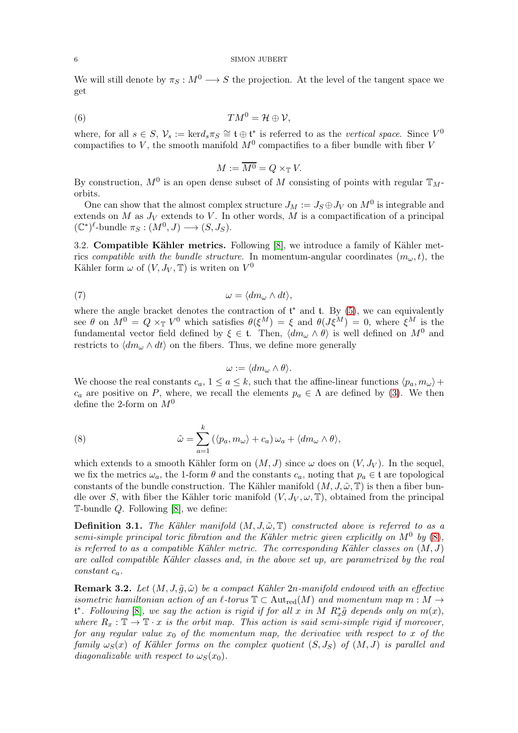We will still denote by  $\pi_S : M^0 \longrightarrow S$  the projection. At the level of the tangent space we get

(6) 
$$
TM^0 = \mathcal{H} \oplus \mathcal{V},
$$

where, for all  $s \in S$ ,  $\mathcal{V}_s := \text{ker} d_s \pi_S \cong \mathfrak{t} \oplus \mathfrak{t}^*$  is referred to as the vertical space. Since  $V^0$ compactifies to V, the smooth manifold  $M^0$  compactifies to a fiber bundle with fiber V

$$
M := \overline{M^0} = Q \times_{\mathbb{T}} V.
$$

By construction,  $M^0$  is an open dense subset of M consisting of points with regular  $\mathbb{T}_M$ orbits.

One can show that the almost complex structure  $J_M := J_S \oplus J_V$  on  $M^0$  is integrable and extends on M as  $J_V$  extends to V. In other words, M is a compactification of a principal  $(\mathbb{C}^*)^{\ell}$ -bundle  $\pi_S : (M^0, J) \longrightarrow (S, J_S)$ .

3.2. Compatible Kähler metrics. Following [\[8\]](#page-24-10), we introduce a family of Kähler metrics compatible with the bundle structure. In momentum-angular coordinates  $(m_{\omega}, t)$ , the Kähler form  $\omega$  of  $(V, J_V, \mathbb{T})$  is writen on  $V^0$ 

$$
\omega = \langle dm_{\omega} \wedge dt \rangle,
$$

where the angle bracket denotes the contraction of  $t^*$  and  $t$ . By  $(5)$ , we can equivalently see  $\theta$  on  $M^0 = Q \times_{\mathbb{T}} V^0$  which satisfies  $\theta(\xi^M) = \xi$  and  $\theta(J\xi^M) = 0$ , where  $\xi^M$  is the fundamental vector field defined by  $\xi \in \mathfrak{t}$ . Then,  $\langle dm_{\omega} \wedge \theta \rangle$  is well defined on  $M^0$  and restricts to  $\langle dm_\omega \wedge dt \rangle$  on the fibers. Thus, we define more generally

<span id="page-5-2"></span><span id="page-5-1"></span>
$$
\omega := \langle dm_\omega \wedge \theta \rangle.
$$

We choose the real constants  $c_a$ ,  $1 \le a \le k$ , such that the affine-linear functions  $\langle p_a, m_{\omega} \rangle +$  $c_a$  are positive on P, where, we recall the elements  $p_a \in \Lambda$  are defined by [\(3\)](#page-4-4). We then define the 2-form on  $M^0$ 

(8) 
$$
\tilde{\omega} = \sum_{a=1}^{k} (\langle p_a, m_{\omega} \rangle + c_a) \omega_a + \langle dm_{\omega} \wedge \theta \rangle,
$$

which extends to a smooth Kähler form on  $(M, J)$  since  $\omega$  does on  $(V, J_V)$ . In the sequel, we fix the metrics  $\omega_a$ , the 1-form  $\theta$  and the constants  $c_a$ , noting that  $p_a \in \mathfrak{t}$  are topological constants of the bundle construction. The Kähler manifold  $(M, J, \tilde{\omega}, \mathbb{T})$  is then a fiber bundle over S, with fiber the Kähler toric manifold  $(V, J_V, \omega, \mathbb{T})$ , obtained from the principal T-bundle  $Q$ . Following [\[8\]](#page-24-10), we define:

**Definition 3.1.** The Kähler manifold  $(M, J, \tilde{\omega}, \mathbb{T})$  constructed above is referred to as a semi-simple principal toric fibration and the Kähler metric given explicitly on  $M^0$  by  $(8)$ , is referred to as a compatible Kähler metric. The corresponding Kähler classes on  $(M, J)$ are called compatible Kähler classes and, in the above set up, are parametrized by the real  $constant c_a$ .

<span id="page-5-0"></span>**Remark 3.2.** Let  $(M, J, \tilde{q}, \tilde{\omega})$  be a compact Kähler 2n-manifold endowed with an effective isometric hamiltonian action of an  $\ell$ -torus  $\mathbb{T} \subset \text{Aut}_{red}(M)$  and momentum map  $m : M \to$  $\mathfrak{t}^*$ . Following [\[8\]](#page-24-10), we say the action is rigid if for all x in M  $R_x^*\tilde{g}$  depends only on  $m(x)$ , where  $R_x : \mathbb{T} \to \mathbb{T} \cdot x$  is the orbit map. This action is said semi-simple rigid if moreover, for any regular value  $x_0$  of the momentum map, the derivative with respect to x of the family  $\omega_S(x)$  of Kähler forms on the complex quotient  $(S, J_S)$  of  $(M, J)$  is parallel and diagonalizable with respect to  $\omega_S(x_0)$ .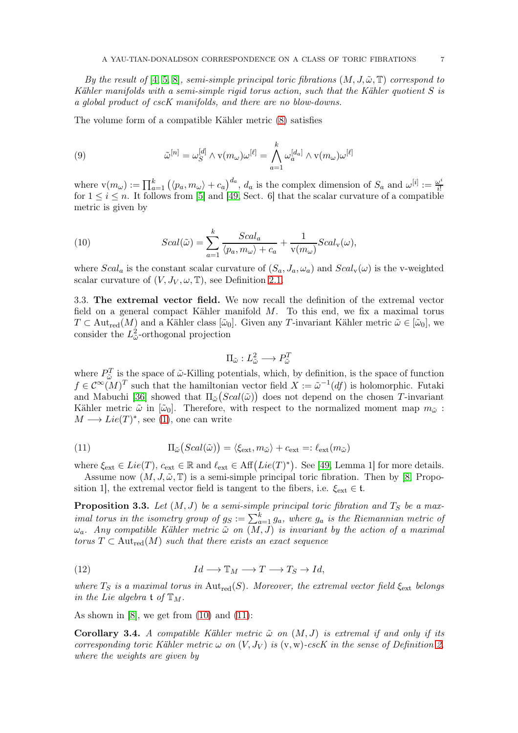By the result of [\[4,](#page-24-18) [5,](#page-24-11) [8\]](#page-24-10), semi-simple principal toric fibrations  $(M, J, \tilde{\omega}, \mathbb{T})$  correspond to Kähler manifolds with a semi-simple rigid torus action, such that the Kähler quotient S is a global product of cscK manifolds, and there are no blow-downs.

The volume form of a compatible Kähler metric [\(8\)](#page-5-1) satisfies

<span id="page-6-3"></span>(9) 
$$
\tilde{\omega}^{[n]} = \omega_S^{[d]} \wedge \mathbf{v}(m_{\omega})\omega^{[\ell]} = \bigwedge_{a=1}^k \omega_a^{[d_a]} \wedge \mathbf{v}(m_{\omega})\omega^{[\ell]}
$$

where  $\mathbf{v}(m_\omega) := \prod_{a=1}^k (\langle p_a, m_\omega \rangle + c_a)^{d_a}$ ,  $d_a$  is the complex dimension of  $S_a$  and  $\omega^{[i]} := \frac{\omega^i}{i!}$ i! for  $1 \leq i \leq n$ . It follows from [\[5\]](#page-24-11) and [\[49,](#page-25-3) Sect. 6] that the scalar curvature of a compatible metric is given by

<span id="page-6-0"></span>(10) 
$$
Scal(\tilde{\omega}) = \sum_{a=1}^{k} \frac{Scal_a}{\langle p_a, m_{\omega} \rangle + c_a} + \frac{1}{v(m_{\omega})}Scal_v(\omega),
$$

where  $Scal_a$  is the constant scalar curvature of  $(S_a, J_a, \omega_a)$  and  $Scal_v(\omega)$  is the v-weighted scalar curvature of  $(V, J_V, \omega, \mathbb{T})$ , see Definition [2.1.](#page-3-1)

<span id="page-6-4"></span>3.3. The extremal vector field. We now recall the definition of the extremal vector field on a general compact Kähler manifold M. To this end, we fix a maximal torus  $T \subset \text{Aut}_{red}(M)$  and a Kähler class  $[\tilde{\omega}_0]$ . Given any T-invariant Kähler metric  $\tilde{\omega} \in [\tilde{\omega}_0]$ , we consider the  $L^2_{\tilde{\omega}}$ -orthogonal projection

$$
\Pi_{\tilde{\omega}}: L^2_{\tilde{\omega}} \longrightarrow P^T_{\tilde{\omega}}
$$

where  $P_{\tilde{\omega}}^T$  is the space of  $\tilde{\omega}$ -Killing potentials, which, by definition, is the space of function  $f \in \mathcal{C}^{\infty}(M)^{T}$  such that the hamiltonian vector field  $X := \tilde{\omega}^{-1}(df)$  is holomorphic. Futaki and Mabuchi [\[36\]](#page-25-21) showed that  $\Pi_{\tilde{\omega}}(Scal(\tilde{\omega}))$  does not depend on the chosen T-invariant Kähler metric  $\tilde{\omega}$  in  $[\tilde{\omega}_0]$ . Therefore, with respect to the normalized moment map  $m_{\tilde{\omega}}$ :  $M \longrightarrow Lie(T)^{*}$ , see [\(1\)](#page-3-2), one can write

<span id="page-6-1"></span>(11) 
$$
\Pi_{\tilde{\omega}}(Scal(\tilde{\omega})) = \langle \xi_{\text{ext}}, m_{\tilde{\omega}} \rangle + c_{\text{ext}} =: \ell_{\text{ext}}(m_{\tilde{\omega}})
$$

where  $\xi_{ext} \in Lie(T)$ ,  $c_{ext} \in \mathbb{R}$  and  $\ell_{ext} \in Aff(Lie(T)^*)$ . See [\[49,](#page-25-3) Lemma 1] for more details.

Assume now  $(M, J, \tilde{\omega}, \mathbb{T})$  is a semi-simple principal toric fibration. Then by [\[8,](#page-24-10) Proposition 1], the extremal vector field is tangent to the fibers, i.e.  $\xi_{\text{ext}} \in \mathfrak{t}$ .

<span id="page-6-2"></span>**Proposition 3.3.** Let  $(M, J)$  be a semi-simple principal toric fibration and  $T_S$  be a maximal torus in the isometry group of  $g_S := \sum_{a=1}^k g_a$ , where  $g_a$  is the Riemannian metric of  $\omega_a$ . Any compatible Kähler metric  $\tilde{\omega}$  on  $(\overline{M}, \overline{J})$  is invariant by the action of a maximal torus  $T \subset \text{Aut}_{red}(M)$  such that there exists an exact sequence

<span id="page-6-6"></span>(12) 
$$
Id \longrightarrow \mathbb{T}_M \longrightarrow T \longrightarrow T_S \longrightarrow Id,
$$

where  $T_S$  is a maximal torus in Aut<sub>red</sub>(S). Moreover, the extremal vector field  $\xi_{\text{ext}}$  belongs in the Lie algebra  $\mathfrak{t}$  of  $\mathbb{T}_M$ .

As shown in [\[8\]](#page-24-10), we get from  $(10)$  and  $(11)$ :

<span id="page-6-5"></span>**Corollary 3.4.** A compatible Kähler metric  $\tilde{\omega}$  on  $(M, J)$  is extremal if and only if its corresponding toric Kähler metric  $\omega$  on  $(V, J_V)$  is  $(v, w)$ -cscK in the sense of Definition [2,](#page-4-1) where the weights are given by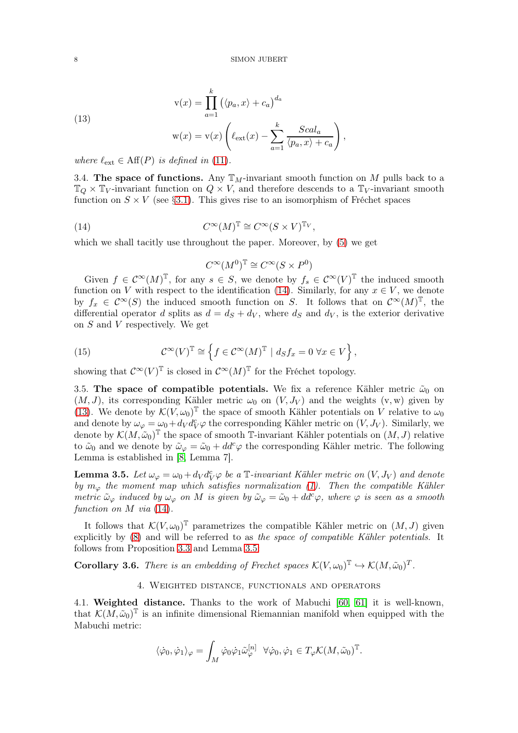<span id="page-7-0"></span>(13)  
\n
$$
\mathbf{v}(x) = \prod_{a=1}^{k} (\langle p_a, x \rangle + c_a)^{d_a}
$$
\n
$$
\mathbf{w}(x) = \mathbf{v}(x) \left( \ell_{\text{ext}}(x) - \sum_{a=1}^{k} \frac{Scal_a}{\langle p_a, x \rangle + c_a} \right)
$$
\nwhere  $\ell_{\text{tot}} \in \text{Aff}(P)$  is defined in (11)

where  $\ell_{\rm ext} \in \mathrm{Aff}(P)$  is defined in [\(11\)](#page-6-1).

3.4. The space of functions. Any  $\mathbb{T}_M$ -invariant smooth function on M pulls back to a  $\mathbb{T}_{Q} \times \mathbb{T}_{V}$ -invariant function on  $Q \times V$ , and therefore descends to a  $\mathbb{T}_{V}$ -invariant smooth function on  $S \times V$  (see §[3.1\)](#page-4-5). This gives rise to an isomorphism of Fréchet spaces

,

(14) 
$$
C^{\infty}(M)^{\mathbb{T}} \cong C^{\infty}(S \times V)^{\mathbb{T}_{V}},
$$

which we shall tacitly use throughout the paper. Moreover, by [\(5\)](#page-4-3) we get

<span id="page-7-2"></span>
$$
C^{\infty}(M^0)^{\mathbb{T}} \cong C^{\infty}(S \times P^0)
$$

Given  $f \in C^{\infty}(M)^{\mathbb{T}}$ , for any  $s \in S$ , we denote by  $f_s \in C^{\infty}(V)^{\mathbb{T}}$  the induced smooth function on V with respect to the identification [\(14\)](#page-7-2). Similarly, for any  $x \in V$ , we denote by  $f_x \in C^{\infty}(S)$  the induced smooth function on S. It follows that on  $C^{\infty}(M)^{\mathbb{T}}$ , the differential operator d splits as  $d = d<sub>S</sub> + d<sub>V</sub>$ , where  $d<sub>S</sub>$  and  $d<sub>V</sub>$ , is the exterior derivative on S and V respectively. We get

(15) 
$$
\mathcal{C}^{\infty}(V)^{\mathbb{T}} \cong \left\{ f \in \mathcal{C}^{\infty}(M)^{\mathbb{T}} \mid d_S f_x = 0 \,\forall x \in V \right\},
$$

showing that  $\mathcal{C}^{\infty}(V)^{\mathbb{T}}$  is closed in  $\mathcal{C}^{\infty}(M)^{\mathbb{T}}$  for the Fréchet topology.

3.5. The space of compatible potentials. We fix a reference Kähler metric  $\tilde{\omega}_0$  on  $(M, J)$ , its corresponding Kähler metric  $\omega_0$  on  $(V, J_V)$  and the weights  $(v, w)$  given by [\(13\)](#page-7-0). We denote by  $\mathcal{K}(V, \omega_0)^\mathbb{T}$  the space of smooth Kähler potentials on V relative to  $\omega_0$ and denote by  $\omega_{\varphi} = \omega_0 + d_V d_V^c \varphi$  the corresponding Kähler metric on  $(V, J_V)$ . Similarly, we denote by  $\mathcal{K}(M, \tilde{\omega}_0)$ <sup>T</sup> the space of smooth T-invariant Kähler potentials on  $(M, J)$  relative to  $\tilde{\omega}_0$  and we denote by  $\tilde{\omega}_{\varphi} = \tilde{\omega}_0 + dd^c \varphi$  the corresponding Kähler metric. The following Lemma is established in [\[8,](#page-24-10) Lemma 7].

<span id="page-7-3"></span>**Lemma 3.5.** Let  $\omega_{\varphi} = \omega_0 + d_V d_V^c \varphi$  be a T-invariant Kähler metric on  $(V, J_V)$  and denote by  $m_{\varphi}$  the moment map which satisfies normalization [\(1\)](#page-3-2). Then the compatible Kähler metric  $\tilde{\omega}_{\varphi}$  induced by  $\omega_{\varphi}$  on M is given by  $\tilde{\omega}_{\varphi} = \tilde{\omega}_0 + dd^c \varphi$ , where  $\varphi$  is seen as a smooth function on M via  $(14)$ .

It follows that  $\mathcal{K}(V, \omega_0)^\mathbb{T}$  parametrizes the compatible Kähler metric on  $(M, J)$  given explicitly by [\(8\)](#page-5-1) and will be referred to as the space of compatible Kähler potentials. It follows from Proposition [3.3](#page-6-2) and Lemma [3.5:](#page-7-3)

<span id="page-7-4"></span><span id="page-7-1"></span>**Corollary 3.6.** There is an embedding of Frechet spaces  $\mathcal{K}(V, \omega_0)^T \hookrightarrow \mathcal{K}(M, \tilde{\omega}_0)^T$ .

# 4. Weighted distance, functionals and operators

4.1. Weighted distance. Thanks to the work of Mabuchi [\[60,](#page-25-22) [61\]](#page-26-7) it is well-known, that  $\mathcal{K}(M, \tilde{\omega}_0)$ <sup>T</sup> is an infinite dimensional Riemannian manifold when equipped with the Mabuchi metric:

$$
\langle \dot{\varphi}_0, \dot{\varphi}_1 \rangle_{\varphi} = \int_M \dot{\varphi}_0 \dot{\varphi}_1 \tilde{\omega}_{\varphi}^{[n]} \quad \forall \dot{\varphi}_0, \dot{\varphi}_1 \in T_{\varphi} \mathcal{K}(M, \tilde{\omega}_0)^{\mathbb{T}}.
$$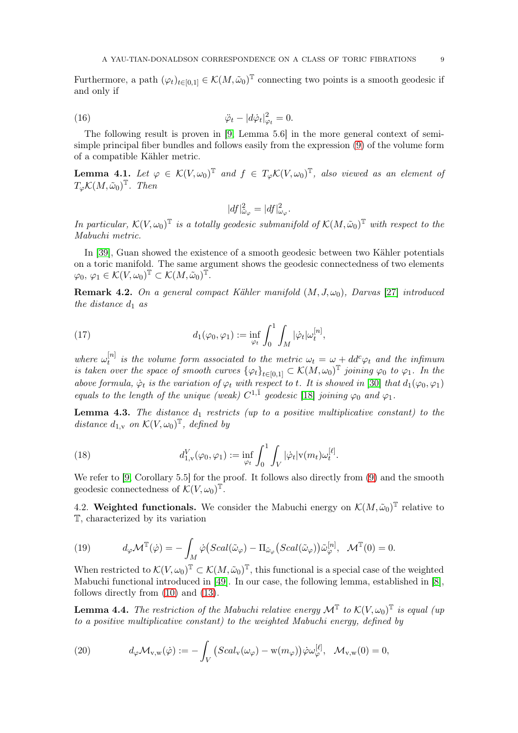Furthermore, a path  $(\varphi_t)_{t\in[0,1]}\in \mathcal{K}(M,\tilde{\omega}_0)^T$  connecting two points is a smooth geodesic if and only if

(16) 
$$
\ddot{\varphi}_t - |d\dot{\varphi}_t|_{\varphi_t}^2 = 0.
$$

The following result is proven in [\[9,](#page-24-13) Lemma 5.6] in the more general context of semisimple principal fiber bundles and follows easily from the expression [\(9\)](#page-6-3) of the volume form of a compatible Kähler metric.

**Lemma 4.1.** Let  $\varphi \in \mathcal{K}(V, \omega_0)^T$  and  $f \in T_\varphi \mathcal{K}(V, \omega_0)^T$ , also viewed as an element of  $T_{\varphi} \mathcal{K}(M, \tilde{\omega}_0)^{\mathbb{T}}$ . Then

$$
|df|_{\tilde{\omega}_{\varphi}}^2 = |df|_{\omega_{\varphi}}^2.
$$

In particular,  $\mathcal{K}(V, \omega_0)$ <sup>T</sup> is a totally geodesic submanifold of  $\mathcal{K}(M, \tilde{\omega}_0)$ <sup>T</sup> with respect to the Mabuchi metric.

In [\[39\]](#page-25-23), Guan showed the existence of a smooth geodesic between two Kähler potentials on a toric manifold. The same argument shows the geodesic connectedness of two elements  $\varphi_0,\, \varphi_1\in \mathcal K(V,\omega_0)^{\mathbb T}\subset \mathcal K(M,\tilde \omega_0)^{\mathbb T}.$ 

**Remark 4.2.** On a general compact Kähler manifold  $(M, J, \omega_0)$ , Darvas [\[27\]](#page-24-19) introduced the distance  $d_1$  as

<span id="page-8-0"></span>(17) 
$$
d_1(\varphi_0, \varphi_1) := \inf_{\varphi_t} \int_0^1 \int_M |\dot{\varphi}_t| \omega_t^{[n]},
$$

where  $\omega_t^{[n]}$  $t_t^{[n]}$  is the volume form associated to the metric  $\omega_t = \omega + dd^c \varphi_t$  and the infimum is taken over the space of smooth curves  $\{\varphi_t\}_{t\in[0,1]}\subset \mathcal{K}(M,\omega_0)^{\mathbb{T}}$  joining  $\varphi_0$  to  $\varphi_1$ . In the above formula,  $\dot{\varphi}_t$  is the variation of  $\varphi_t$  with respect to t. It is showed in [\[30\]](#page-25-20) that  $d_1(\varphi_0, \varphi_1)$ equals to the length of the unique (weak)  $C^{1,\bar{1}}$  geodesic [\[18\]](#page-24-20) joining  $\varphi_0$  and  $\varphi_1$ .

<span id="page-8-2"></span>**Lemma 4.3.** The distance  $d_1$  restricts (up to a positive multiplicative constant) to the distance  $d_{1,v}$  on  $\mathcal{K}(V, \omega_0)^\mathbb{T}$ , defined by

(18) 
$$
d_{1,v}^V(\varphi_0, \varphi_1) := \inf_{\varphi_t} \int_0^1 \int_V |\dot{\varphi}_t| v(m_t) \omega_t^{[\ell]}.
$$

We refer to [\[9,](#page-24-13) Corollary 5.5] for the proof. It follows also directly from [\(9\)](#page-6-3) and the smooth geodesic connectedness of  $\mathcal{K}(V, \omega_0)^\mathbb{T}$ .

4.2. Weighted functionals. We consider the Mabuchi energy on  $\mathcal{K}(M, \tilde{\omega}_0)^T$  relative to T, characterized by its variation

<span id="page-8-1"></span>(19) 
$$
d_{\varphi} \mathcal{M}^{\mathbb{T}}(\dot{\varphi}) = -\int_{M} \dot{\varphi} \big( Scal(\tilde{\omega}_{\varphi}) - \Pi_{\tilde{\omega}_{\varphi}} \big( Scal(\tilde{\omega}_{\varphi}) \big) \tilde{\omega}_{\varphi}^{[n]}, \quad \mathcal{M}^{\mathbb{T}}(0) = 0.
$$

When restricted to  $\mathcal{K}(V, \omega_0)^\mathbb{T} \subset \mathcal{K}(M, \tilde{\omega}_0)^\mathbb{T}$ , this functional is a special case of the weighted Mabuchi functional introduced in [\[49\]](#page-25-3). In our case, the following lemma, established in [\[8\]](#page-24-10), follows directly from [\(10\)](#page-6-0) and [\(13\)](#page-7-0).

<span id="page-8-4"></span>**Lemma 4.4.** The restriction of the Mabuchi relative energy  $\mathcal{M}^{\mathbb{T}}$  to  $\mathcal{K}(V, \omega_0)^{\mathbb{T}}$  is equal (up to a positive multiplicative constant) to the weighted Mabuchi energy, defined by

<span id="page-8-3"></span>(20) 
$$
d_{\varphi} \mathcal{M}_{v,w}(\dot{\varphi}) := - \int_{V} \left( Scal_{v}(\omega_{\varphi}) - w(m_{\varphi}) \right) \dot{\varphi} \omega_{\varphi}^{[\ell]}, \quad \mathcal{M}_{v,w}(0) = 0,
$$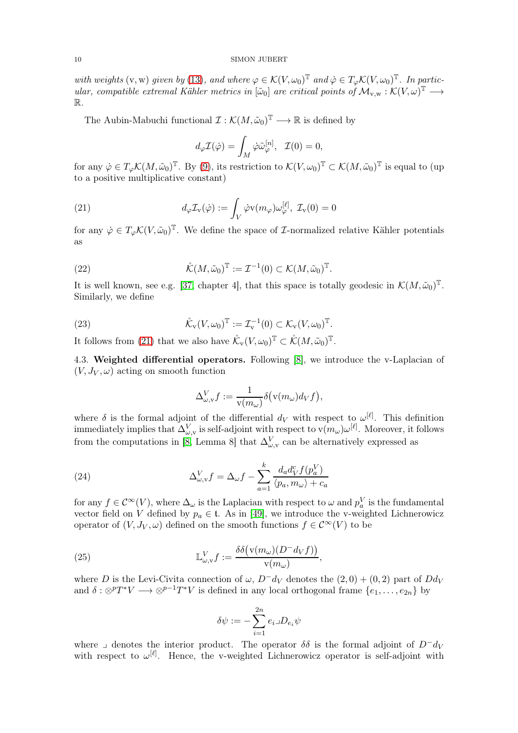with weights (v, w) given by [\(13\)](#page-7-0), and where  $\varphi \in \mathcal{K}(V, \omega_0)^T$  and  $\dot{\varphi} \in T_{\varphi} \mathcal{K}(V, \omega_0)^T$ . In particular, compatible extremal Kähler metrics in  $[\tilde{\omega}_0]$  are critical points of  $\mathcal{M}_{v,w} : \mathcal{K}(V, \omega)^\mathbb{T} \longrightarrow$ R.

The Aubin-Mabuchi functional  $\mathcal{I}: \mathcal{K}(M, \tilde{\omega}_0)^{\mathbb{T}} \longrightarrow \mathbb{R}$  is defined by

<span id="page-9-0"></span>
$$
d_{\varphi}\mathcal{I}(\dot{\varphi}) = \int_M \dot{\varphi}\tilde{\omega}_{\varphi}^{[n]}, \ \ \mathcal{I}(0) = 0,
$$

for any  $\dot{\varphi} \in T_{\varphi} \mathcal{K}(M, \tilde{\omega}_0)^{\mathbb{T}}$ . By [\(9\)](#page-6-3), its restriction to  $\mathcal{K}(V, \omega_0)^{\mathbb{T}} \subset \mathcal{K}(M, \tilde{\omega}_0)^{\mathbb{T}}$  is equal to (up to a positive multiplicative constant)

(21) 
$$
d_{\varphi} \mathcal{I}_{\mathbf{v}}(\dot{\varphi}) := \int_{V} \dot{\varphi} \mathbf{v}(m_{\varphi}) \omega_{\varphi}^{[\ell]}, \mathcal{I}_{\mathbf{v}}(0) = 0
$$

for any  $\dot{\varphi} \in T_{\varphi} \mathcal{K}(V, \tilde{\omega}_0)^{\mathbb{T}}$ . We define the space of *L*-normalized relative Kähler potentials as

<span id="page-9-1"></span>(22) 
$$
\mathring{\mathcal{K}}(M,\tilde{\omega}_0)^{\mathbb{T}} := \mathcal{I}^{-1}(0) \subset \mathcal{K}(M,\tilde{\omega}_0)^{\mathbb{T}}.
$$

It is well known, see e.g. [\[37,](#page-25-18) chapter 4], that this space is totally geodesic in  $\mathcal{K}(M, \tilde{\omega}_0)^{\mathbb{T}}$ . Similarly, we define

(23) 
$$
\mathring{\mathcal{K}}_{\mathbf{v}}(V,\omega_0)^{\mathbb{T}} := \mathcal{I}_{\mathbf{v}}^{-1}(0) \subset \mathcal{K}_{\mathbf{v}}(V,\omega_0)^{\mathbb{T}}.
$$

It follows from [\(21\)](#page-9-0) that we also have  $\mathring{\mathcal{K}}_v(V, \omega_0)^\mathbb{T} \subset \mathring{\mathcal{K}}(M, \tilde{\omega}_0)^\mathbb{T}$ .

4.3. Weighted differential operators. Following [\[8\]](#page-24-10), we introduce the v-Laplacian of  $(V, J_V, \omega)$  acting on smooth function

<span id="page-9-3"></span>
$$
\Delta_{\omega,\mathrm{v}}^Vf:=\frac{1}{\mathrm{v}(m_\omega)}\delta\big(\mathrm{v}(m_\omega)d_Vf\big),
$$

where  $\delta$  is the formal adjoint of the differential  $d_V$  with respect to  $\omega^{[\ell]}$ . This definition immediately implies that  $\Delta_{\omega,v}^V$  is self-adjoint with respect to  $v(m_\omega)\omega^{[\ell]}$ . Moreover, it follows from the computations in [\[8,](#page-24-10) Lemma 8] that  $\Delta_{\omega, v}^V$  can be alternatively expressed as

(24) 
$$
\Delta_{\omega,\mathbf{v}}^V f = \Delta_{\omega} f - \sum_{a=1}^k \frac{d_a d_V^c f(p_a^V)}{\langle p_a, m_{\omega} \rangle + c_a}
$$

for any  $f \in C^{\infty}(V)$ , where  $\Delta_{\omega}$  is the Laplacian with respect to  $\omega$  and  $p_a^V$  is the fundamental vector field on V defined by  $p_a \in \mathfrak{t}$ . As in [\[49\]](#page-25-3), we introduce the v-weighted Lichnerowicz operator of  $(V, J_V, \omega)$  defined on the smooth functions  $f \in C^{\infty}(V)$  to be

(25) 
$$
\mathbb{L}^V_{\omega,\mathbf{v}}f := \frac{\delta\delta(\mathbf{v}(m_\omega)(D^-d_Vf))}{\mathbf{v}(m_\omega)},
$$

where D is the Levi-Civita connection of  $\omega$ ,  $D^-d_V$  denotes the  $(2,0) + (0,2)$  part of  $Dd_V$ and  $\delta: \otimes^p T^*V \longrightarrow \otimes^{p-1} T^*V$  is defined in any local orthogonal frame  $\{e_1, \ldots, e_{2n}\}$  by

<span id="page-9-2"></span>
$$
\delta \psi := -\sum_{i=1}^{2n} e_i \lrcorner D_{e_i} \psi
$$

where  $\Box$  denotes the interior product. The operator  $\delta\delta$  is the formal adjoint of  $D^+d_V$ with respect to  $\omega^{[\ell]}$ . Hence, the v-weighted Lichnerowicz operator is self-adjoint with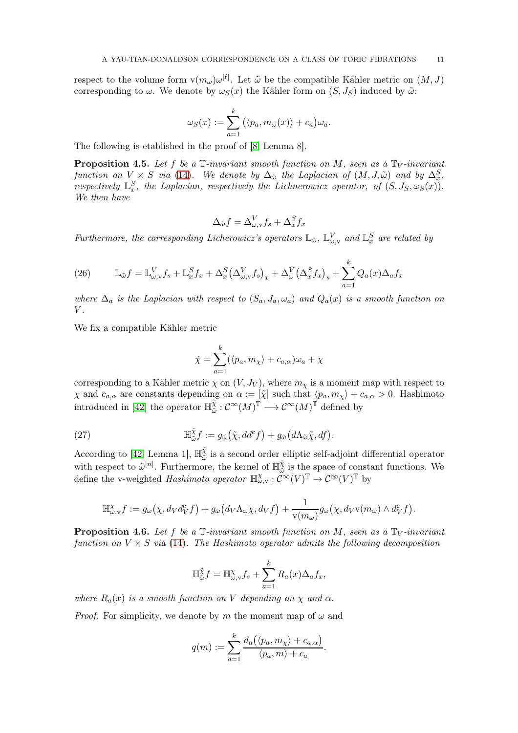respect to the volume form  $v(m_\omega) \omega^{[\ell]}$ . Let  $\tilde{\omega}$  be the compatible Kähler metric on  $(M, J)$ corresponding to  $\omega$ . We denote by  $\omega_{S}(x)$  the Kähler form on  $(S, J_S)$  induced by  $\tilde{\omega}$ .

$$
\omega_S(x) := \sum_{a=1}^k (\langle p_a, m_\omega(x) \rangle + c_a) \omega_a.
$$

The following is etablished in the proof of [\[8,](#page-24-10) Lemma 8].

<span id="page-10-0"></span>**Proposition 4.5.** Let f be a  $\mathbb{T}$ -invariant smooth function on M, seen as a  $\mathbb{T}_V$ -invariant function on  $V \times S$  via [\(14\)](#page-7-2). We denote by  $\Delta_{\tilde{\omega}}$  the Laplacian of  $(M, J, \tilde{\omega})$  and by  $\Delta_x^S$ , respectively  $\mathbb{L}_{x}^{S}$ , the Laplacian, respectively the Lichnerowicz operator, of  $(S, J_S, \omega_S(x))$ . We then have

$$
\Delta_{\tilde{\omega}}f = \Delta_{\omega, \text{v}}^V f_s + \Delta_x^S f_x
$$

Furthermore, the corresponding Licherowicz's operators  $\mathbb{L}_{\tilde{\omega}}$ ,  $\mathbb{L}_{\omega,\mathrm{v}}^V$  and  $\mathbb{L}_x^S$  are related by

(26) 
$$
\mathbb{L}_{\tilde{\omega}}f = \mathbb{L}_{\omega,\mathrm{v}}^V f_s + \mathbb{L}_x^S f_x + \Delta_x^S \left(\Delta_{\omega,\mathrm{v}}^V f_s\right)_x + \Delta_\omega^V \left(\Delta_x^S f_x\right)_s + \sum_{a=1}^k Q_a(x) \Delta_a f_x
$$

where  $\Delta_a$  is the Laplacian with respect to  $(S_a, J_a, \omega_a)$  and  $Q_a(x)$  is a smooth function on  $V$ .

We fix a compatible Kähler metric

<span id="page-10-1"></span>
$$
\tilde{\chi} = \sum_{a=1}^{k} (\langle p_a, m_{\chi} \rangle + c_{a,\alpha}) \omega_a + \chi
$$

corresponding to a Kähler metric  $\chi$  on  $(V, J_V)$ , where  $m_{\chi}$  is a moment map with respect to  $\chi$  and  $c_{a,\alpha}$  are constants depending on  $\alpha := [\tilde{\chi}]$  such that  $\langle p_a, m_{\chi} \rangle + c_{a,\alpha} > 0$ . Hashimoto introduced in [\[42\]](#page-25-24) the operator  $\mathbb{H}_{\tilde{\omega}}^{\tilde{\chi}}$  $\tilde{\chi} : \mathcal{C}^\infty(M)^\mathbb{T} \longrightarrow \mathcal{C}^\infty(M)^\mathbb{T}$  defined by

(27) 
$$
\mathbb{H}_{\tilde{\omega}}^{\tilde{\chi}} f := g_{\tilde{\omega}}(\tilde{\chi}, dd^c f) + g_{\tilde{\omega}}(d\Lambda_{\tilde{\omega}}\tilde{\chi}, df).
$$

According to [\[42,](#page-25-24) Lemma 1],  $\mathbb{H}_{\tilde{\omega}}^{\tilde{\chi}}$  $\frac{x}{\omega}$  is a second order elliptic self-adjoint differential operator with respect to  $\tilde{\omega}^{[n]}$ . Furthermore, the kernel of  $\mathbb{H}_{\tilde{\omega}}^{\tilde{\chi}}$  $\frac{\chi}{\tilde{\omega}}$  is the space of constant functions. We define the v-weighted Hashimoto operator  $\mathbb{H}^{\chi}_{\omega, v} : \tilde{\mathcal{C}}^{\infty}(V)^{\mathbb{T}} \to \mathcal{C}^{\infty}(V)^{\mathbb{T}}$  by

$$
\mathbb{H}_{\omega,\mathbf{v}}^{\chi}f := g_{\omega}\big(\chi, d_V d_V^c f\big) + g_{\omega}\big(d_V \Lambda_{\omega} \chi, d_V f\big) + \frac{1}{\mathbf{v}(m_{\omega})}g_{\omega}\big(\chi, d_V \mathbf{v}(m_{\omega}) \wedge d_V^c f\big).
$$

<span id="page-10-2"></span>**Proposition 4.6.** Let f be a  $\mathbb{T}$ -invariant smooth function on M, seen as a  $\mathbb{T}_V$ -invariant function on  $V \times S$  via [\(14\)](#page-7-2). The Hashimoto operator admits the following decomposition

$$
\mathbb{H}_{\tilde{\omega}}^{\tilde{\chi}} f = \mathbb{H}_{\omega,\mathbf{v}}^{\chi} f_s + \sum_{a=1}^{k} R_a(x) \Delta_a f_x,
$$

where  $R_a(x)$  is a smooth function on V depending on  $\chi$  and  $\alpha$ .

*Proof.* For simplicity, we denote by m the moment map of  $\omega$  and

$$
q(m) := \sum_{a=1}^k \frac{d_a(\langle p_a, m_\chi \rangle + c_{a,\alpha})}{\langle p_a, m \rangle + c_a}.
$$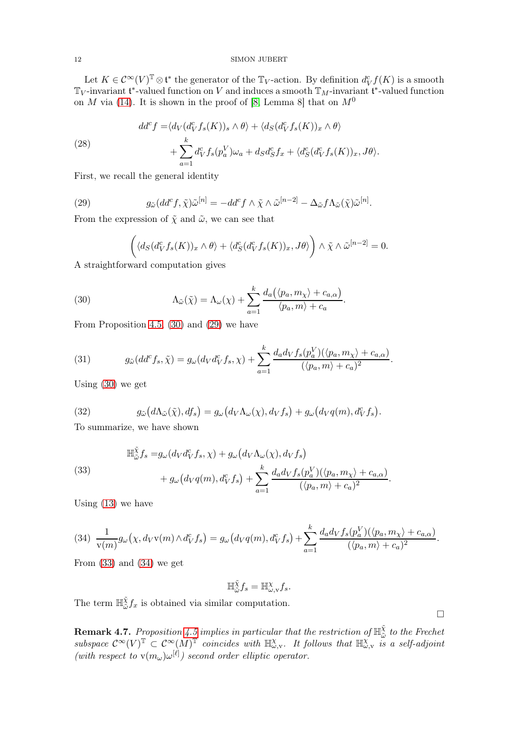Let  $K \in C^{\infty}(V)^{\mathbb{T}} \otimes \mathfrak{t}^*$  the generator of the  $\mathbb{T}_V$ -action. By definition  $d_V^c f(K)$  is a smooth  $\mathbb{T}_V$ -invariant  $\mathfrak{t}^*$ -valued function on V and induces a smooth  $\mathbb{T}_M$ -invariant  $\mathfrak{t}^*$ -valued function on M via [\(14\)](#page-7-2). It is shown in the proof of [\[8,](#page-24-10) Lemma 8] that on  $M^0$ 

(28)  
\n
$$
dd^{c} f = \langle d_{V}(d_{V}^{c} f_{s}(K))_{s} \wedge \theta \rangle + \langle d_{S}(d_{V}^{c} f_{s}(K))_{x} \wedge \theta \rangle + \sum_{a=1}^{k} d_{V}^{c} f_{s}(p_{a}^{V}) \omega_{a} + d_{S} d_{S}^{c} f_{x} + \langle d_{S}^{c}(d_{V}^{c} f_{s}(K))_{x}, J\theta \rangle.
$$

First, we recall the general identity

(29) 
$$
g_{\tilde{\omega}}(dd^c f, \tilde{\chi})\tilde{\omega}^{[n]} = -dd^c f \wedge \tilde{\chi} \wedge \tilde{\omega}^{[n-2]} - \Delta_{\tilde{\omega}} f \Lambda_{\tilde{\omega}}(\tilde{\chi})\tilde{\omega}^{[n]}.
$$

From the expression of  $\tilde{\chi}$  and  $\tilde{\omega}$ , we can see that

<span id="page-11-1"></span><span id="page-11-0"></span>
$$
\left(\langle d_{S}(d_{V}^{c}f_{s}(K))_{x}\wedge\theta\rangle+\langle d_{S}^{c}(d_{V}^{c}f_{s}(K))_{x},J\theta\rangle\right)\wedge\tilde{\chi}\wedge\tilde{\omega}^{[n-2]}=0.
$$

.

 $\Box$ 

A straightforward computation gives

(30) 
$$
\Lambda_{\tilde{\omega}}(\tilde{\chi}) = \Lambda_{\omega}(\chi) + \sum_{a=1}^{k} \frac{d_a(\langle p_a, m_{\chi} \rangle + c_{a,\alpha})}{\langle p_a, m \rangle + c_a}
$$

From Proposition [4.5,](#page-10-0) [\(30\)](#page-11-0) and [\(29\)](#page-11-1) we have

(31) 
$$
g_{\tilde{\omega}}(dd^c f_s, \tilde{\chi}) = g_{\omega}(d_V d_V^c f_s, \chi) + \sum_{a=1}^k \frac{d_a d_V f_s(p_a^V) (\langle p_a, m_{\chi} \rangle + c_{a,\alpha})}{(\langle p_a, m \rangle + c_a)^2}.
$$

Using [\(30\)](#page-11-0) we get

(32) 
$$
g_{\tilde{\omega}}(d\Lambda_{\tilde{\omega}}(\tilde{\chi}), df_s) = g_{\omega}(d_V \Lambda_{\omega}(\chi), d_V f_s) + g_{\omega}(d_V q(m), d_V^c f_s).
$$

To summarize, we have shown

<span id="page-11-2"></span>(33)  
\n
$$
\mathbb{H}_{\tilde{\omega}}^{\tilde{\chi}} f_s = g_{\omega} (d_V d_V^c f_s, \chi) + g_{\omega} (d_V \Lambda_{\omega}(\chi), d_V f_s) + g_{\omega} (d_V q(m), d_V^c f_s) + \sum_{a=1}^k \frac{d_a d_V f_s(p_a^V)(\langle p_a, m_\chi \rangle + c_{a,\alpha})}{(\langle p_a, m \rangle + c_a)^2}.
$$

Using [\(13\)](#page-7-0) we have

<span id="page-11-3"></span>
$$
(34) \frac{1}{v(m)}g_{\omega}(\chi, d_Vv(m)\wedge d_V^c f_s) = g_{\omega}(d_Vq(m), d_V^c f_s) + \sum_{a=1}^k \frac{d_a d_V f_s(p_a^V)(\langle p_a, m_\chi \rangle + c_{a,\alpha})}{(\langle p_a, m \rangle + c_a)^2}.
$$

From  $(33)$  and  $(34)$  we get

$$
\mathbb{H}_{\tilde{\omega}}^{\tilde{\chi}} f_s = \mathbb{H}_{\omega, \mathbf{v}}^{\chi} f_s.
$$

The term  $\mathbb{H}_{\tilde{\omega}}^{\tilde{\chi}}$  $\frac{\chi}{\tilde{\omega}} f_x$  is obtained via similar computation.

**Remark 4.7.** Proposition [4.5](#page-10-0) implies in particular that the restriction of  $\mathbb{H}_{\tilde{\omega}}^{\tilde{\chi}}$  $\frac{\chi}{\tilde{\omega}}$  to the Frechet subspace  $\mathcal{C}^{\infty}(V)^{\mathbb{T}} \subset \mathcal{C}^{\infty}(M)^{\mathbb{T}}$  coincides with  $\mathbb{H}_{\omega,\mathbf{v}}^{\chi}$ . It follows that  $\mathbb{H}_{\omega,\mathbf{v}}^{\chi}$  is a self-adjoint (with respect to  $v(m_\omega) \omega^{[\ell]}$ ) second order elliptic operator.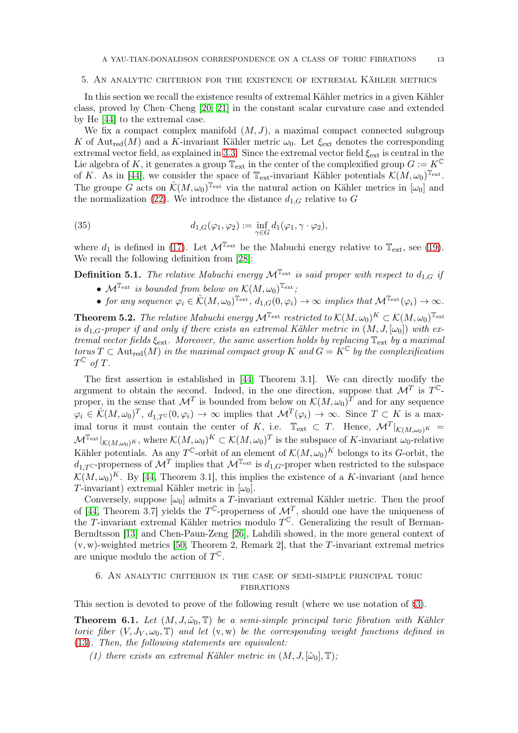## <span id="page-12-2"></span>5. An analytic criterion for the existence of extremal Kähler metrics

In this section we recall the existence results of extremal Kähler metrics in a given Kähler class, proved by Chen–Cheng [\[20,](#page-24-3) [21\]](#page-24-4) in the constant scalar curvature case and extended by He [\[44\]](#page-25-14) to the extremal case.

We fix a compact complex manifold  $(M, J)$ , a maximal compact connected subgroup K of Aut<sub>red</sub>(M) and a K-invariant Kähler metric  $\omega_0$ . Let  $\xi_{\text{ext}}$  denotes the corresponding extremal vector field, as explained in [3.3.](#page-6-4) Since the extremal vector field  $\xi_{\rm ext}$  is central in the Lie algebra of K, it generates a group  $\mathbb{T}_{ext}$  in the center of the complexified group  $G := K^{\mathbb{C}}$ of K. As in [\[44\]](#page-25-14), we consider the space of  $\mathbb{T}_{ext}$ -invariant Kähler potentials  $\mathcal{K}(M,\omega_0)^{\mathbb{T}_{ext}}$ . The groupe G acts on  $\mathcal{K}(M,\omega_0)^{\mathbb{T}_{\rm ext}}$  via the natural action on Kähler metrics in  $[\omega_0]$  and the normalization [\(22\)](#page-9-1). We introduce the distance  $d_{1,G}$  relative to G

(35) 
$$
d_{1,G}(\varphi_1,\varphi_2):=\inf_{\gamma\in G}d_1(\varphi_1,\gamma\cdot\varphi_2),
$$

where  $d_1$  is defined in [\(17\)](#page-8-0). Let  $\mathcal{M}^{\mathbb{T}_{ext}}$  be the Mabuchi energy relative to  $\mathbb{T}_{ext}$ , see [\(19\)](#page-8-1). We recall the following definition from [\[28\]](#page-25-1):

<span id="page-12-5"></span>**Definition 5.1.** The relative Mabuchi energy  $\mathcal{M}^{\mathbb{T}_{ext}}$  is said proper with respect to  $d_{1,G}$  if

- <span id="page-12-4"></span>•  $\mathcal{M}^{\mathbb{T}_{ext}}$  is bounded from below on  $\mathcal{K}(M,\omega_0)^{\mathbb{T}_{ext}}$ ;
- for any sequence  $\varphi_i \in \mathring{\mathcal{K}}(M,\omega_0)^{\mathbb{T}_{\text{ext}}}, d_{1,G}(0,\varphi_i) \to \infty$  implies that  $\mathcal{M}^{\mathbb{T}_{\text{ext}}}(\varphi_i) \to \infty$ .

<span id="page-12-1"></span>**Theorem 5.2.** The relative Mabuchi energy  $\mathcal{M}^{\mathbb{T}_{\rm ext}}$  restricted to  $\mathcal{K}(M,\omega_0)^K \subset \mathcal{K}(M,\omega_0)^{\mathbb{T}_{\rm ext}}$ is  $d_{1,G}$ -proper if and only if there exists an extremal Kähler metric in  $(M, J, [\omega_0])$  with extremal vector fields  $\xi_{\text{ext}}$ . Moreover, the same assertion holds by replacing  $\mathbb{T}_{\text{ext}}$  by a maximal torus  $T \subset \text{Aut}_{red}(M)$  in the maximal compact group K and  $G = K^{\mathbb{C}}$  by the complexification  $T^{\mathbb{C}}$  of T.

The first assertion is established in [\[44,](#page-25-14) Theorem 3.1]. We can directly modify the argument to obtain the second. Indeed, in the one direction, suppose that  $\mathcal{M}^T$  is  $T^{\mathbb{C}_-}$ proper, in the sense that  $\mathcal{M}^T$  is bounded from below on  $\mathcal{K}(M,\omega_0)^T$  and for any sequence  $\varphi_i \in \mathring{\mathcal{K}}(M,\omega_0)^T$ ,  $d_{1,T}(\mathfrak{c}(0,\varphi_i)) \to \infty$  implies that  $\mathcal{M}^T(\varphi_i) \to \infty$ . Since  $T \subset K$  is a maximal torus it must contain the center of K, i.e.  $\mathbb{T}_{ext} \subset T$ . Hence,  $\mathcal{M}^T|_{\mathcal{K}(M,\omega_0)^K} =$  $\mathcal{M}^{\mathbb{T}_{\rm ext}}|_{\mathcal{K}(M,\omega_0)^K}$ , where  $\mathcal{K}(M,\omega_0)^K \subset \mathcal{K}(M,\omega_0)^T$  is the subspace of K-invariant  $\omega_0$ -relative Kähler potentials. As any  $T^{\mathbb{C}}$ -orbit of an element of  $\mathcal{K}(M,\omega_0)^K$  belongs to its G-orbit, the  $d_{1,T}$ C-properness of  $\mathcal{M}^T$  implies that  $\mathcal{M}^{\mathbb{T}_{\rm ext}}$  is  $d_{1,G}$ -proper when restricted to the subspace  $\mathcal{K}(M,\omega_0)^K$ . By [\[44,](#page-25-14) Theorem 3.1], this implies the existence of a K-invariant (and hence T-invariant) extremal Kähler metric in  $[\omega_0]$ .

Conversely, suppose  $[\omega_0]$  admits a T-invariant extremal Kähler metric. Then the proof of [\[44,](#page-25-14) Theorem 3.7] yields the  $T^{\mathbb{C}}$ -properness of  $\mathcal{M}^{T}$ , should one have the uniqueness of the T-invariant extremal Kähler metrics modulo  $T^{\mathbb{C}}$ . Generalizing the result of Berman-Berndtsson [\[13\]](#page-24-21) and Chen-Paun-Zeng [\[26\]](#page-24-22), Lahdili showed, in the more general context of  $(v, w)$ -weighted metrics [\[50,](#page-25-25) Theorem 2, Remark 2], that the T-invariant extremal metrics are unique modulo the action of  $T^{\mathbb{C}}$ .

# <span id="page-12-3"></span>6. An analytic criterion in the case of semi-simple principal toric **FIBRATIONS**

This section is devoted to prove of the following result (where we use notation of [§3\)](#page-4-0).

<span id="page-12-0"></span>**Theorem 6.1.** Let  $(M, J, \tilde{\omega}_0, \mathbb{T})$  be a semi-simple principal toric fibration with Kähler toric fiber  $(V, J_V, \omega_0, \mathbb{T})$  and let  $(v, w)$  be the corresponding weight functions defined in [\(13\)](#page-7-0). Then, the following statements are equivalent:

(1) there exists an extremal Kähler metric in  $(M, J, [\tilde{\omega}_0], \mathbb{T})$ ;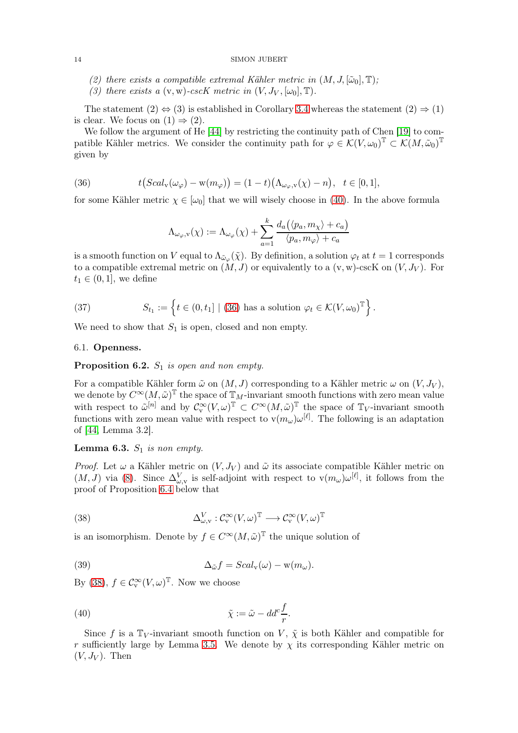- (2) there exists a compatible extremal Kähler metric in  $(M, J, [\tilde{\omega}_0], \mathbb{T})$ ;
- (3) there exists a  $(v, w)$ -cscK metric in  $(V, J_V, [\omega_0], \mathbb{T})$ .

The statement  $(2) \Leftrightarrow (3)$  is established in Corollary [3.4](#page-6-5) whereas the statement  $(2) \Rightarrow (1)$ is clear. We focus on  $(1) \Rightarrow (2)$ .

We follow the argument of He [\[44\]](#page-25-14) by restricting the continuity path of Chen [\[19\]](#page-24-12) to compatible Kähler metrics. We consider the continuity path for  $\varphi \in \mathcal{K}(V, \omega_0)^\mathbb{T} \subset \mathcal{K}(M, \tilde{\omega}_0)^\mathbb{T}$ given by

(36) 
$$
t(Scal_v(\omega_\varphi)-w(m_\varphi))=(1-t)(\Lambda_{\omega_\varphi,v}(\chi)-n), \quad t\in[0,1],
$$

for some Kähler metric  $\chi \in [\omega_0]$  that we will wisely choose in [\(40\)](#page-13-0). In the above formula

<span id="page-13-1"></span>
$$
\Lambda_{\omega_\varphi,\mathbf{v}}(\chi):=\Lambda_{\omega_\varphi}(\chi)+\sum_{a=1}^k \frac{d_a\big(\langle p_a,m_\chi\rangle+c_a\big)}{\langle p_a,m_\varphi\rangle+c_a}
$$

is a smooth function on V equal to  $\Lambda_{\tilde{\omega}_{\varphi}}(\tilde{\chi})$ . By definition, a solution  $\varphi_t$  at  $t=1$  corresponds to a compatible extremal metric on  $(M, J)$  or equivalently to a  $(v, w)$ -cscK on  $(V, J_V)$ . For  $t_1 \in (0,1]$ , we define

(37) 
$$
S_{t_1} := \left\{ t \in (0, t_1] \mid (36) \text{ has a solution } \varphi_t \in \mathcal{K}(V, \omega_0)^{\mathbb{T}} \right\}.
$$

We need to show that  $S_1$  is open, closed and non empty.

# 6.1. Openness.

# <span id="page-13-4"></span>**Proposition 6.2.**  $S_1$  is open and non empty.

For a compatible Kähler form  $\tilde{\omega}$  on  $(M, J)$  corresponding to a Kähler metric  $\omega$  on  $(V, J_V)$ , we denote by  $C^{\infty}(M,\tilde{\omega})^{\mathbb{T}}$  the space of  $\mathbb{T}_M$ -invariant smooth functions with zero mean value with respect to  $\tilde{\omega}^{[n]}$  and by  $\mathcal{C}_{\mathbf{v}}^{\infty}(V,\omega)^{\mathbb{T}} \subset C^{\infty}(M,\tilde{\omega})^{\mathbb{T}}$  the space of  $\mathbb{T}_V$ -invariant smooth functions with zero mean value with respect to  $v(m_\omega) \omega^{[\ell]}$ . The following is an adaptation of [\[44,](#page-25-14) Lemma 3.2].

# <span id="page-13-3"></span>**Lemma 6.3.**  $S_1$  is non empty.

*Proof.* Let  $\omega$  a Kähler metric on  $(V, J_V)$  and  $\tilde{\omega}$  its associate compatible Kähler metric on  $(M, J)$  via [\(8\)](#page-5-1). Since  $\Delta_{\omega, v}^V$  is self-adjoint with respect to  $v(m_\omega) \omega^{[\ell]}$ , it follows from the proof of Proposition [6.4](#page-15-0) below that

<span id="page-13-2"></span>(38) 
$$
\Delta^V_{\omega, v} : C_v^{\infty}(V, \omega)^{\mathbb{T}} \longrightarrow C_v^{\infty}(V, \omega)^{\mathbb{T}}
$$

is an isomorphism. Denote by  $f \in C^{\infty}(M, \tilde{\omega})^{\mathbb{T}}$  the unique solution of

(39) 
$$
\Delta_{\tilde{\omega}}f = Scal_{\mathbf{v}}(\omega) - \mathbf{w}(m_{\omega}).
$$

By [\(38\)](#page-13-2),  $f \in C_v^{\infty}(V, \omega)^{\mathbb{T}}$ . Now we choose

<span id="page-13-0"></span>(40) 
$$
\tilde{\chi} := \tilde{\omega} - dd^c \frac{f}{r}.
$$

Since f is a  $\mathbb{T}_V$ -invariant smooth function on V,  $\tilde{\chi}$  is both Kähler and compatible for r sufficiently large by Lemma [3.5.](#page-7-3) We denote by  $\chi$  its corresponding Kähler metric on  $(V, J_V)$ . Then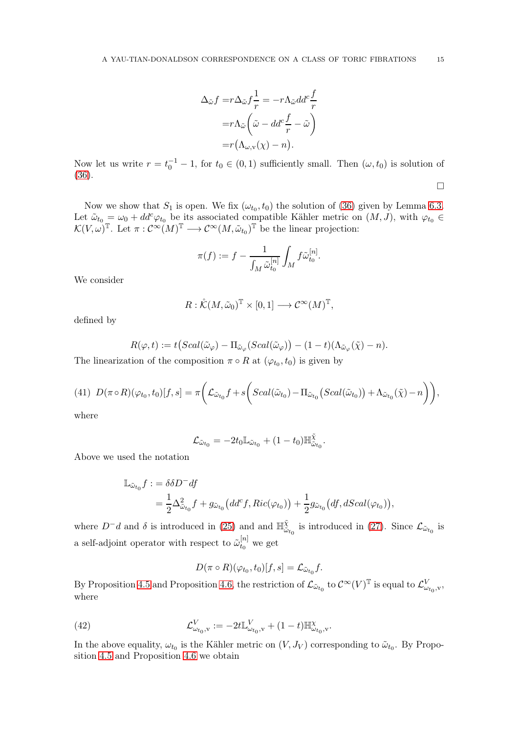$$
\Delta_{\tilde{\omega}} f = r \Delta_{\tilde{\omega}} f \frac{1}{r} = -r \Lambda_{\tilde{\omega}} dd^c \frac{f}{r}
$$

$$
= r \Lambda_{\tilde{\omega}} \left( \tilde{\omega} - dd^c \frac{f}{r} - \tilde{\omega} \right)
$$

$$
= r (\Lambda_{\omega, \mathbf{v}}(\chi) - n).
$$

Now let us write  $r = t_0^{-1} - 1$ , for  $t_0 \in (0, 1)$  sufficiently small. Then  $(\omega, t_0)$  is solution of [\(36\)](#page-13-1).  $\Box$ 

Now we show that  $S_1$  is open. We fix  $(\omega_{t_0}, t_0)$  the solution of [\(36\)](#page-13-1) given by Lemma [6.3.](#page-13-3) Let  $\tilde{\omega}_{t_0} = \omega_0 + dd^c \varphi_{t_0}$  be its associated compatible Kähler metric on  $(M, J)$ , with  $\varphi_{t_0} \in$  $\mathcal{K}(V, \omega)$ <sup>T</sup>. Let  $\pi: \mathcal{C}^{\infty}(M)$ <sup>T</sup>  $\longrightarrow \mathcal{C}^{\infty}(M, \tilde{\omega}_{t_0})$ <sup>T</sup> be the linear projection:

$$
\pi(f) := f - \frac{1}{\int_M \tilde{\omega}_{t_0}^{[n]}} \int_M f \tilde{\omega}_{t_0}^{[n]}.
$$

We consider

$$
R: \mathring{\mathcal{K}}(M,\tilde{\omega}_0)^{\mathbb{T}} \times [0,1] \longrightarrow \mathcal{C}^{\infty}(M)^{\mathbb{T}},
$$

defined by

$$
R(\varphi, t) := t \big( Scal(\tilde{\omega}_{\varphi}) - \Pi_{\tilde{\omega}_{\varphi}} (Scal(\tilde{\omega}_{\varphi})) - (1 - t) (\Lambda_{\tilde{\omega}_{\varphi}}(\tilde{\chi}) - n).
$$

The linearization of the composition  $\pi \circ R$  at  $(\varphi_{t_0}, t_0)$  is given by

(41) 
$$
D(\pi \circ R)(\varphi_{t_0}, t_0)[f, s] = \pi \bigg(\mathcal{L}_{\tilde{\omega}_{t_0}}f + s \bigg(Scal(\tilde{\omega}_{t_0}) - \Pi_{\tilde{\omega}_{t_0}}(Scal(\tilde{\omega}_{t_0})) + \Lambda_{\tilde{\omega}_{t_0}}(\tilde{\chi}) - n\bigg)\bigg),
$$

where

$$
\mathcal{L}_{\tilde{\omega}_{t_0}} = -2t_0 \mathbb{L}_{\tilde{\omega}_{t_0}} + (1 - t_0) \mathbb{H}^{\tilde{\chi}}_{\tilde{\omega}_{t_0}}.
$$

Above we used the notation

$$
\begin{split} \mathbb{L}_{\tilde{\omega}_{t_0}}f &:= \delta\delta D^-df\\ &= \frac{1}{2}\Delta^2_{\tilde{\omega}_{t_0}}f + g_{\tilde{\omega}_{t_0}}\big(dd^c f,\operatorname{Ric}(\varphi_{t_0})\big) + \frac{1}{2}g_{\tilde{\omega}_{t_0}}\big(df,d\operatorname{Scal}(\varphi_{t_0})\big), \end{split}
$$

where  $D^-d$  and  $\delta$  is introduced in [\(25\)](#page-9-2) and and  $\mathbb{H}_{\tilde{\omega}}^{\tilde{\chi}}$  $\mathcal{L}^{\chi}_{\tilde{\omega}_{t_0}}$  is introduced in [\(27\)](#page-10-1). Since  $\mathcal{L}_{\tilde{\omega}_{t_0}}$  is a self-adjoint operator with respect to  $\tilde{\omega}_{t_0}^{[n]}$  $t_0^{[n]}$  we get

<span id="page-14-0"></span>
$$
D(\pi \circ R)(\varphi_{t_0}, t_0)[f, s] = \mathcal{L}_{\tilde{\omega}_{t_0}}f.
$$

By Proposition [4.5](#page-10-0) and Proposition [4.6,](#page-10-2) the restriction of  $\mathcal{L}_{\tilde{\omega}_{t_0}}$  to  $\mathcal{C}^{\infty}(V)^{\mathbb{T}}$  is equal to  $\mathcal{L}_{\omega_{t_0},\mathbf{v}}^V$ , where

(42) 
$$
\mathcal{L}^V_{\omega_{t_0}, v} := -2t \mathbb{L}^V_{\omega_{t_0}, v} + (1-t) \mathbb{H}^{\chi}_{\omega_{t_0}, v}.
$$

In the above equality,  $\omega_{t_0}$  is the Kähler metric on  $(V, J_V)$  corresponding to  $\tilde{\omega}_{t_0}$ . By Proposition [4.5](#page-10-0) and Proposition [4.6](#page-10-2) we obtain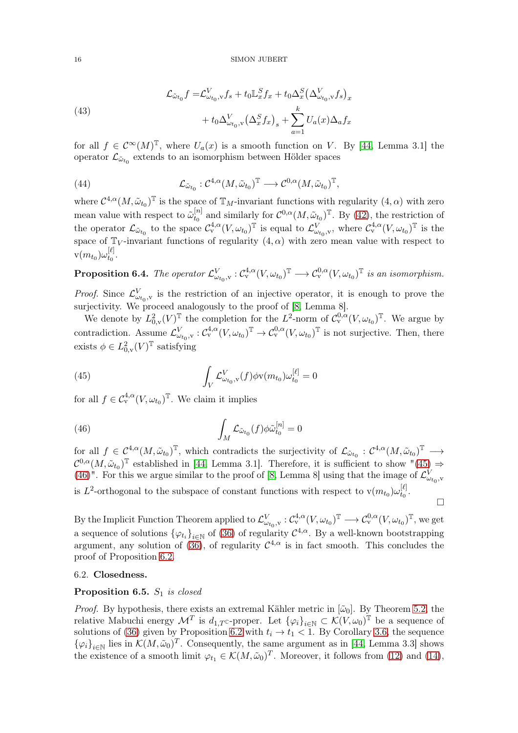(43)  

$$
\mathcal{L}_{\tilde{\omega}_{t_0}} f = \mathcal{L}_{\omega_{t_0},v}^V f_s + t_0 \mathbb{L}_x^S f_x + t_0 \Delta_x^S \left(\Delta_{\omega_{t_0},v}^V f_s\right)_x
$$

$$
+ t_0 \Delta_{\omega_{t_0},v}^V \left(\Delta_x^S f_x\right)_s + \sum_{a=1}^k U_a(x) \Delta_a f_x
$$

for all  $f \in C^{\infty}(M)^{\mathbb{T}}$ , where  $U_a(x)$  is a smooth function on V. By [\[44,](#page-25-14) Lemma 3.1] the operator  $\mathcal{L}_{\tilde{\omega}_{t_0}}$  extends to an isomorphism between Hölder spaces

(44) 
$$
\mathcal{L}_{\tilde{\omega}_{t_0}} : \mathcal{C}^{4,\alpha}(M, \tilde{\omega}_{t_0})^{\mathbb{T}} \longrightarrow \mathcal{C}^{0,\alpha}(M, \tilde{\omega}_{t_0})^{\mathbb{T}},
$$

where  $\mathcal{C}^{4,\alpha}(M,\tilde{\omega}_{t_0})^{\mathbb{T}}$  is the space of  $\mathbb{T}_M$ -invariant functions with regularity  $(4,\alpha)$  with zero mean value with respect to  $\tilde{\omega}_{t_0}^{[n]}$  $t_0^{[n]}$  and similarly for  $\mathcal{C}^{0,\alpha}(M,\tilde{\omega}_{t_0})^{\mathbb{T}}$ . By [\(42\)](#page-14-0), the restriction of the operator  $\mathcal{L}_{\tilde{\omega}_{t_0}}$  to the space  $\mathcal{C}_{\mathrm{v}}^{4,\alpha}(V,\omega_{t_0})^{\mathbb{T}}$  is equal to  $\mathcal{L}_{\omega_{t_0},\mathrm{v}}^V$ , where  $\mathcal{C}_{\mathrm{v}}^{4,\alpha}(V,\omega_{t_0})^{\mathbb{T}}$  is the space of  $\mathbb{T}_V$ -invariant functions of regularity  $(4, \alpha)$  with zero mean value with respect to  $\text{v}(m_{t_0})\omega^{[\ell]}_{t_0}$  $\frac{1}{t_0}$ .

<span id="page-15-0"></span>**Proposition 6.4.** The operator  $\mathcal{L}^V_{\omega_{t_0}, v} : \mathcal{C}^{4,\alpha}_v(V, \omega_{t_0})^{\mathbb{T}} \longrightarrow \mathcal{C}^{0,\alpha}_v(V, \omega_{t_0})^{\mathbb{T}}$  is an isomorphism.

*Proof.* Since  $\mathcal{L}^V_{\omega_{t_0},v}$  is the restriction of an injective operator, it is enough to prove the surjectivity. We proceed analogously to the proof of  $[8, \text{ Lemma } 8]$ .

We denote by  $L^2_{0,v}(V)^{\mathbb{T}}$  the completion for the  $L^2$ -norm of  $\mathcal{C}^{0,\alpha}_v(V,\omega_{t_0})^{\mathbb{T}}$ . We argue by contradiction. Assume  $\mathcal{L}^V_{\omega_{t_0},v} : \mathcal{C}^{4,\alpha}_v(V, \omega_{t_0})^{\mathbb{T}} \to \mathcal{C}^{0,\alpha}_v(V, \omega_{t_0})^{\mathbb{T}}$  is not surjective. Then, there exists  $\phi \in L^2_{0,v}(V)^{\mathbb{T}}$  satisfying

<span id="page-15-1"></span>(45) 
$$
\int_{V} \mathcal{L}_{\omega_{t_0}, \mathbf{v}}^{V}(f) \phi \mathbf{v}(m_{t_0}) \omega_{t_0}^{[\ell]} = 0
$$

for all  $f \in C^{4,\alpha}_v(V, \omega_{t_0})^{\mathbb{T}}$ . We claim it implies

<span id="page-15-2"></span>(46) 
$$
\int_M \mathcal{L}_{\tilde{\omega}_{t_0}}(f) \phi \tilde{\omega}_{t_0}^{[n]} = 0
$$

for all  $f \in C^{4,\alpha}(M,\tilde{\omega}_{t_0})^{\mathbb{T}}$ , which contradicts the surjectivity of  $\mathcal{L}_{\tilde{\omega}_{t_0}}: C^{4,\alpha}(M,\tilde{\omega}_{t_0})^{\mathbb{T}} \longrightarrow$  $\mathcal{C}^{0,\alpha}(M,\tilde{\omega}_{t_0})^{\mathbb{T}}$  established in [\[44,](#page-25-14) Lemma 3.1]. Therefore, it is sufficient to show "[\(45\)](#page-15-1)  $\Rightarrow$ [\(46\)](#page-15-2)". For this we argue similar to the proof of [\[8,](#page-24-10) Lemma 8] using that the image of  $\mathcal{L}^V_{\omega_{t_0},v}$ is L<sup>2</sup>-orthogonal to the subspace of constant functions with respect to  $v(m_{t_0})\omega_{t_0}^{[\ell]}$  $\frac{1}{t_0}$ .  $\Box$ 

By the Implicit Function Theorem applied to  $\mathcal{L}^V_{\omega_{t_0}, v} : \mathcal{C}^{4,\alpha}_v(V, \omega_{t_0})^{\mathbb{T}} \longrightarrow \mathcal{C}^{0,\alpha}_v(V, \omega_{t_0})^{\mathbb{T}}$ , we get a sequence of solutions  $\{\varphi_{t_i}\}_{i\in\mathbb{N}}$  of [\(36\)](#page-13-1) of regularity  $\mathcal{C}^{4,\alpha}$ . By a well-known bootstrapping argument, any solution of [\(36\)](#page-13-1), of regularity  $C^{4,\alpha}$  is in fact smooth. This concludes the proof of Proposition [6.2.](#page-13-4)

## 6.2. Closedness.

# Proposition 6.5.  $S_1$  is closed

*Proof.* By hypothesis, there exists an extremal Kähler metric in  $[\tilde{\omega}_0]$ . By Theorem [5.2,](#page-12-1) the relative Mabuchi energy  $\mathcal{M}^T$  is  $d_{1,T}$ c-proper. Let  ${\{\varphi_i\}}_{i\in\mathbb{N}}\subset \mathcal{K}(V,\omega_0)^{\mathbb{T}}$  be a sequence of solutions of [\(36\)](#page-13-1) given by Proposition [6.2](#page-13-4) with  $t_i \rightarrow t_1 < 1$ . By Corollary [3.6,](#page-7-4) the sequence  ${\{\varphi_i\}}_{i\in\mathbb{N}}$  lies in  $\mathcal{K}(M,\tilde{\omega}_0)^T$ . Consequently, the same argument as in [\[44,](#page-25-14) Lemma 3.3] shows the existence of a smooth limit  $\varphi_{t_1} \in \mathcal{K}(M, \tilde{\omega}_0)^T$ . Moreover, it follows from [\(12\)](#page-6-6) and [\(14\)](#page-7-2),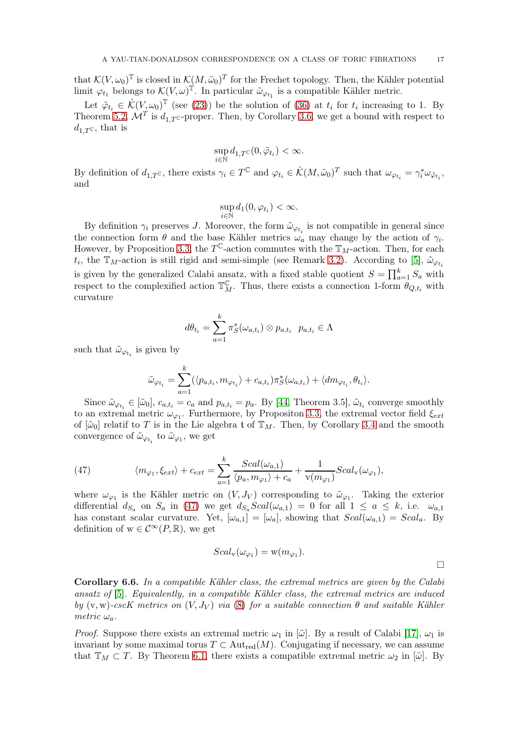that  $\mathcal{K}(V, \omega_0)^\mathbb{T}$  is closed in  $\mathcal{K}(M, \tilde{\omega}_0)^T$  for the Frechet topology. Then, the Kähler potential limit  $\varphi_{t_1}$  belongs to  $\mathcal{K}(V, \omega)$ <sup>T</sup>. In particular  $\tilde{\omega}_{\varphi_{t_1}}$  is a compatible Kähler metric.

Let  $\tilde{\varphi}_{t_i} \in \mathring{\mathcal{K}}(V, \omega_0)^\mathbb{T}$  (see [\(23\)](#page-9-3)) be the solution of [\(36\)](#page-13-1) at  $t_i$  for  $t_i$  increasing to 1. By Theorem [5.2,](#page-12-1)  $\mathcal{M}^T$  is  $d_{1,T}$ c-proper. Then, by Corollary [3.6,](#page-7-4) we get a bound with respect to  $d_{1,T}$ c, that is

$$
\sup_{i\in\mathbb{N}}d_{1,T}\mathbf{C}(0,\tilde{\varphi}_{t_i})<\infty.
$$

By definition of  $d_{1,T}$ c, there exists  $\gamma_i \in T^{\mathbb{C}}$  and  $\varphi_{t_i} \in \mathring{\mathcal{K}}(M, \tilde{\omega}_0)^T$  such that  $\omega_{\varphi_{t_i}} = \gamma_i^* \omega_{\tilde{\varphi}_{t_i}}$ , and

$$
\sup_{i\in\mathbb{N}}d_1(0,\varphi_{t_i})<\infty.
$$

By definition  $\gamma_i$  preserves J. Moreover, the form  $\tilde{\omega}_{\varphi_{t_i}}$  is not compatible in general since the connection form  $\theta$  and the base Kähler metrics  $\omega_a$  may change by the action of  $\gamma_i$ . However, by Proposition [3.3,](#page-6-2) the  $T^{\mathbb{C}}$ -action commutes with the  $\mathbb{T}_M$ -action. Then, for each  $t_i$ , the  $\mathbb{T}_M$ -action is still rigid and semi-simple (see Remark [3.2\)](#page-5-0). According to [\[5\]](#page-24-11),  $\tilde{\omega}_{\varphi_{t_i}}$ is given by the generalized Calabi ansatz, with a fixed stable quotient  $S = \prod_{a=1}^{k} S_a$  with respect to the complexified action  $\mathbb{T}_{M}^{\mathbb{C}}$ . Thus, there exists a connection 1-form  $\theta_{Q,t_i}$  with curvature

$$
d\theta_{t_i} = \sum_{a=1}^k \pi_S^*(\omega_{a,t_i}) \otimes p_{a,t_i} \quad p_{a,t_i} \in \Lambda
$$

such that  $\tilde{\omega}_{\varphi_{t_i}}$  is given by

$$
\tilde{\omega}_{\varphi_{t_i}} = \sum_{a=1}^k (\langle p_{a,t_i}, m_{\varphi_{t_i}} \rangle + c_{a,t_i}) \pi_S^*(\omega_{a,t_i}) + \langle dm_{\varphi_{t_i}}, \theta_{t_i} \rangle.
$$

Since  $\tilde{\omega}_{\varphi_{t_i}} \in [\tilde{\omega}_0], c_{a,t_i} = c_a$  and  $p_{a,t_i} = p_a$ . By [\[44,](#page-25-14) Theorem 3.5],  $\tilde{\omega}_{t_i}$  converge smoothly to an extremal metric  $\omega_{\varphi_1}$ . Furthermore, by Propositon [3.3,](#page-6-2) the extremal vector field  $\xi_{ext}$ of  $[\tilde{\omega}_0]$  relatif to T is in the Lie algebra t of  $\mathbb{T}_M$ . Then, by Corollary [3.4](#page-6-5) and the smooth convergence of  $\tilde{\omega}_{\varphi_{t_i}}$  to  $\tilde{\omega}_{\varphi_1}$ , we get

<span id="page-16-0"></span>(47) 
$$
\langle m_{\varphi_1}, \xi_{ext} \rangle + c_{ext} = \sum_{a=1}^k \frac{Scal(\omega_{a,1})}{\langle p_a, m_{\varphi_1} \rangle + c_a} + \frac{1}{v(m_{\varphi_1})}Scal_v(\omega_{\varphi_1}),
$$

where  $\omega_{\varphi_1}$  is the Kähler metric on  $(V, J_V)$  corresponding to  $\tilde{\omega}_{\varphi_1}$ . Taking the exterior differential  $d_{S_a}$  on  $S_a$  in [\(47\)](#page-16-0) we get  $d_{S_a}Scal(\omega_{a,1}) = 0$  for all  $1 \le a \le k$ , i.e.  $\omega_{a,1}$ has constant scalar curvature. Yet,  $[\omega_{a,1}] = [\omega_a]$ , showing that  $Scal(\omega_{a,1}) = Scal_a$ . By definition of  $w \in C^{\infty}(P,\mathbb{R})$ , we get

$$
Scal_{\mathbf{v}}(\omega_{\varphi_1}) = \mathbf{w}(m_{\varphi_1}).
$$

**Corollary 6.6.** In a compatible Kähler class, the extremal metrics are given by the Calabi ansatz of [\[5\]](#page-24-11). Equivalently, in a compatible Kähler class, the extremal metrics are induced by  $(v, w)$ -cscK metrics on  $(V, J_V)$  via  $(8)$  for a suitable connection  $\theta$  and suitable Kähler metric  $\omega_a$ .

*Proof.* Suppose there exists an extremal metric  $\omega_1$  in  $[\tilde{\omega}]$ . By a result of Calabi [\[17\]](#page-24-1),  $\omega_1$  is invariant by some maximal torus  $T \subset Aut_{red}(M)$ . Conjugating if necessary, we can assume that  $\mathbb{T}_M \subset T$ . By Theorem [6.1,](#page-12-0) there exists a compatible extremal metric  $\omega_2$  in  $[\tilde{\omega}]$ . By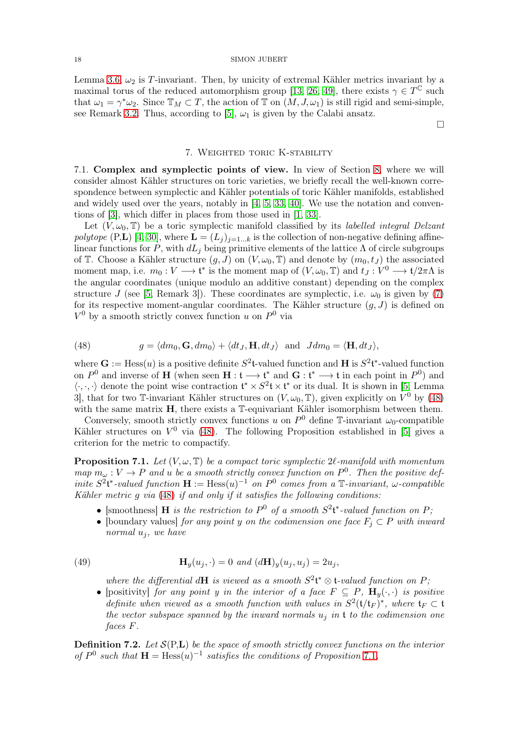Lemma [3.6,](#page-7-4)  $\omega_2$  is T-invariant. Then, by unicity of extremal Kähler metrics invariant by a maximal torus of the reduced automorphism group [\[13,](#page-24-21) [26,](#page-24-22) [49\]](#page-25-3), there exists  $\gamma \in T^{\mathbb{C}}$  such that  $\omega_1 = \gamma^* \omega_2$ . Since  $\mathbb{T}_M \subset T$ , the action of  $\mathbb{T}$  on  $(M, J, \omega_1)$  is still rigid and semi-simple, see Remark [3.2.](#page-5-0) Thus, according to [\[5\]](#page-24-11),  $\omega_1$  is given by the Calabi ansatz.

### $\Box$

# 7. Weighted toric K-stability

7.1. Complex and symplectic points of view. In view of Section [8,](#page-22-1) where we will consider almost Kähler structures on toric varieties, we briefly recall the well-known correspondence between symplectic and Kähler potentials of toric Kähler manifolds, established and widely used over the years, notably in [\[4,](#page-24-18) [5,](#page-24-11) [33,](#page-25-4) [40\]](#page-25-26). We use the notation and conventions of [\[3\]](#page-24-23), which differ in places from those used in [\[1,](#page-24-24) [33\]](#page-25-4).

Let  $(V, \omega_0, \mathbb{T})$  be a toric symplectic manifold classified by its *labelled integral Delzant* polytope (P,L) [\[4,](#page-24-18) [30\]](#page-25-20), where  $\mathbf{L} = (L_j)_{j=1...k}$  is the collection of non-negative defining affinelinear functions for P, with  $dL_j$  being primitive elements of the lattice  $\Lambda$  of circle subgroups of T. Choose a Kähler structure  $(g, J)$  on  $(V, \omega_0, \mathbb{T})$  and denote by  $(m_0, t_J)$  the associated moment map, i.e.  $m_0: V \longrightarrow \mathfrak{t}^*$  is the moment map of  $(V, \omega_0, \mathbb{T})$  and  $t_J: V^0 \longrightarrow \mathfrak{t}/2\pi\Lambda$  is the angular coordinates (unique modulo an additive constant) depending on the complex structure J (see [\[5,](#page-24-11) Remark 3]). These coordinates are symplectic, i.e.  $\omega_0$  is given by [\(7\)](#page-5-2) for its respective moment-angular coordinates. The Kähler structure  $(q, J)$  is defined on  $V^0$  by a smooth strictly convex function u on  $P^0$  via

<span id="page-17-0"></span>(48) 
$$
g = \langle dm_0, \mathbf{G}, dm_0 \rangle + \langle dt_J, \mathbf{H}, dt_J \rangle \text{ and } Jdm_0 = \langle \mathbf{H}, dt_J \rangle,
$$

where  $\mathbf{G} := \text{Hess}(u)$  is a positive definite  $S^2 \mathbf{t}$ -valued function and **H** is  $S^2 \mathbf{t}^*$ -valued function on  $P^0$  and inverse of **H** (when seen **H** :  $\mathfrak{t} \longrightarrow \mathfrak{t}^*$  and **G** :  $\mathfrak{t}^* \longrightarrow \mathfrak{t}$  in each point in  $P^0$ ) and  $\langle \cdot, \cdot, \cdot \rangle$  denote the point wise contraction  $\mathfrak{t}^* \times S^2 \mathfrak{t} \times \mathfrak{t}^*$  or its dual. It is shown in [\[5,](#page-24-11) Lemma 3, that for two T-invariant Kähler structures on  $(V, \omega_0, \mathbb{T})$ , given explicitly on  $\dot{V}^0$  by [\(48\)](#page-17-0) with the same matrix **H**, there exists a T-equivariant Kähler isomorphism between them.

Conversely, smooth strictly convex functions u on  $P^0$  define T-invariant  $\omega_0$ -compatible Kähler structures on  $V^0$  via [\(48\)](#page-17-0). The following Proposition established in [\[5\]](#page-24-11) gives a criterion for the metric to compactify.

<span id="page-17-1"></span>**Proposition 7.1.** Let  $(V, \omega, \mathbb{T})$  be a compact toric symplectic  $2\ell$ -manifold with momentum map  $m_{\omega}: V \to P$  and u be a smooth strictly convex function on  $P^0$ . Then the positive definite  $S^2$ <sup>\*</sup>-valued function  $\mathbf{H} := \text{Hess}(u)^{-1}$  on  $P^0$  comes from a  $\mathbb{T}$ -invariant,  $\omega$ -compatible Kähler metric g via [\(48\)](#page-17-0) if and only if it satisfies the following conditions:

- [smoothness] **H** is the restriction to  $P^0$  of a smooth  $S^2$ <sup>\*</sup>-valued function on P;
- [boundary values] for any point y on the codimension one face  $F_i \subset P$  with inward normal  $u_i$ , we have

(49) 
$$
\mathbf{H}_y(u_j, \cdot) = 0 \text{ and } (d\mathbf{H})_y(u_j, u_j) = 2u_j,
$$

<span id="page-17-2"></span>where the differential dH is viewed as a smooth  $S^2\mathfrak{t}^* \otimes \mathfrak{t}$ -valued function on P;

• [positivity] for any point y in the interior of a face  $F \subseteq P$ ,  $\mathbf{H}_y(\cdot, \cdot)$  is positive definite when viewed as a smooth function with values in  $S^2(\mathfrak{t}/\mathfrak{t}_F)^*$ , where  $\mathfrak{t}_F \subset \mathfrak{t}$ the vector subspace spanned by the inward normals  $u_i$  in t to the codimension one faces F.

**Definition 7.2.** Let  $\mathcal{S}(P,L)$  be the space of smooth strictly convex functions on the interior of  $P^0$  such that  $\mathbf{H} = \text{Hess}(u)^{-1}$  satisfies the conditions of Proposition [7](#page-17-1).1.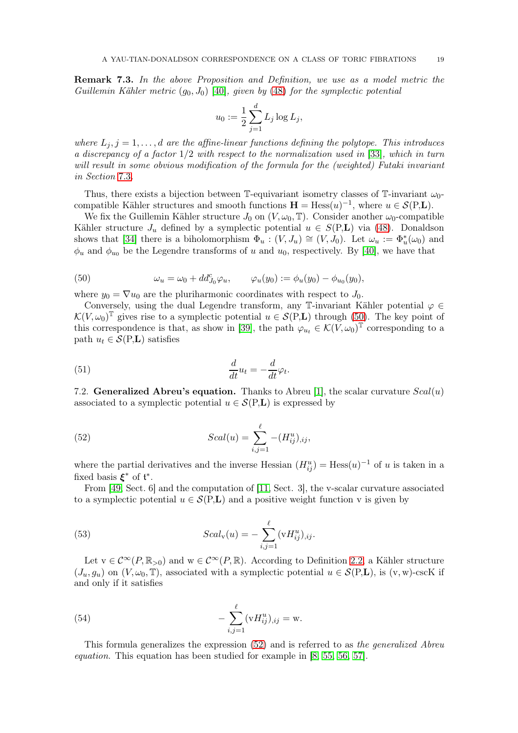Remark 7.3. In the above Proposition and Definition, we use as a model metric the Guillemin Kähler metric  $(q_0, J_0)$  [\[40\]](#page-25-26), given by [\(48\)](#page-17-0) for the symplectic potential

$$
u_0 := \frac{1}{2} \sum_{j=1}^d L_j \log L_j,
$$

where  $L_j$ ,  $j = 1, \ldots, d$  are the affine-linear functions defining the polytope. This introduces a discrepancy of a factor 1/2 with respect to the normalization used in [\[33\]](#page-25-4), which in turn will result in some obvious modification of the formula for the (weighted) Futaki invariant in Section [7](#page-19-0).3.

Thus, there exists a bijection between T-equivariant isometry classes of T-invariant  $\omega_0$ compatible Kähler structures and smooth functions  $\mathbf{H} = \text{Hess}(u)^{-1}$ , where  $u \in \mathcal{S}(P, L)$ .

We fix the Guillemin Kähler structure  $J_0$  on  $(V, \omega_0, \mathbb{T})$ . Consider another  $\omega_0$ -compatible Kähler structure  $J_u$  defined by a symplectic potential  $u \in S(P,L)$  via [\(48\)](#page-17-0). Donaldson shows that [\[34\]](#page-25-27) there is a biholomorphism  $\Phi_u : (V, J_u) \cong (V, J_0)$ . Let  $\omega_u := \Phi_u^*(\omega_0)$  and  $\phi_u$  and  $\phi_{u_0}$  be the Legendre transforms of u and  $u_0$ , respectively. By [\[40\]](#page-25-26), we have that

<span id="page-18-0"></span>(50) 
$$
\omega_u = \omega_0 + dd_{J_0}^c \varphi_u, \qquad \varphi_u(y_0) := \phi_u(y_0) - \phi_{u_0}(y_0),
$$

where  $y_0 = \nabla u_0$  are the pluriharmonic coordinates with respect to  $J_0$ .

Conversely, using the dual Legendre transform, any T-invariant Kähler potential  $\varphi \in$  $\mathcal{K}(V, \omega_0)$ <sup>T</sup> gives rise to a symplectic potential  $u \in \mathcal{S}(P, L)$  through [\(50\)](#page-18-0). The key point of this correspondence is that, as show in [\[39\]](#page-25-23), the path  $\varphi_{u_t} \in \mathcal{K}(\check{V}, \omega_0)^{\mathbb{T}}$  corresponding to a path  $u_t \in \mathcal{S}(P,L)$  satisfies

<span id="page-18-2"></span>(51) 
$$
\frac{d}{dt}u_t = -\frac{d}{dt}\varphi_t.
$$

7.2. Generalized Abreu's equation. Thanks to Abreu [\[1\]](#page-24-24), the scalar curvature  $Scal(u)$ associated to a symplectic potential  $u \in \mathcal{S}(P,L)$  is expressed by

<span id="page-18-1"></span>(52) 
$$
Scal(u) = \sum_{i,j=1}^{\ell} -(H_{ij}^{u})_{,ij},
$$

where the partial derivatives and the inverse Hessian  $(H_{ij}^u) = \text{Hess}(u)^{-1}$  of u is taken in a fixed basis  $\xi^*$  of  $t^*$ .

From [\[49,](#page-25-3) Sect. 6] and the computation of [\[11,](#page-24-16) Sect. 3], the v-scalar curvature associated to a symplectic potential  $u \in \mathcal{S}(P,L)$  and a positive weight function v is given by

(53) 
$$
Scal_{v}(u) = -\sum_{i,j=1}^{\ell} (vH_{ij}^{u})_{,ij}.
$$

Let  $v \in C^{\infty}(P,\mathbb{R}_{>0})$  and  $w \in C^{\infty}(P,\mathbb{R})$ . According to Definition [2.2,](#page-4-6) a Kähler structure  $(J_u, g_u)$  on  $(V, \omega_0, \mathbb{T})$ , associated with a symplectic potential  $u \in \mathcal{S}(P,L)$ , is  $(v, w)$ -cscK if and only if it satisfies

<span id="page-18-3"></span>(54) 
$$
-\sum_{i,j=1}^{\ell} (vH_{ij}^u)_{,ij} = w.
$$

This formula generalizes the expression [\(52\)](#page-18-1) and is referred to as the generalized Abreu equation. This equation has been studied for example in [\[8,](#page-24-10) [55,](#page-25-28) [56,](#page-25-15) [57\]](#page-25-29).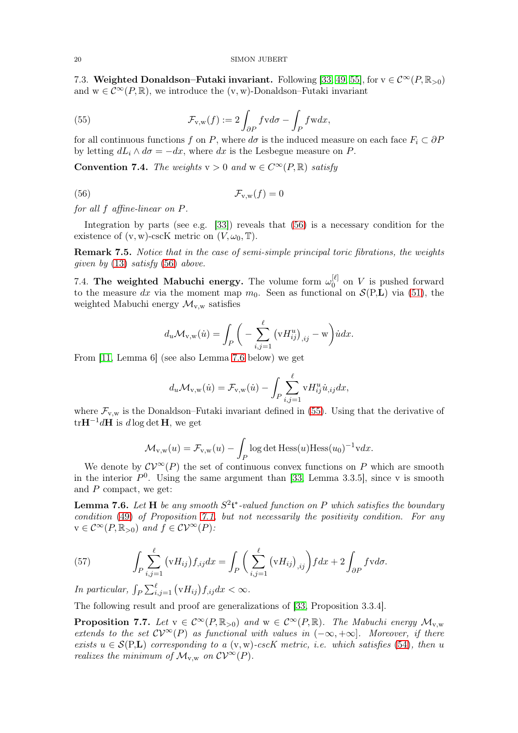<span id="page-19-0"></span>7.3. Weighted Donaldson–Futaki invariant. Following [\[33,](#page-25-4) [49,](#page-25-3) [55\]](#page-25-28), for  $v \in C^{\infty}(P, \mathbb{R}_{>0})$ and  $w \in C^{\infty}(P,\mathbb{R})$ , we introduce the  $(v, w)$ -Donaldson–Futaki invariant

<span id="page-19-3"></span>(55) 
$$
\mathcal{F}_{v,w}(f) := 2 \int_{\partial P} f v d\sigma - \int_{P} f w dx,
$$

for all continuous functions f on P, where  $d\sigma$  is the induced measure on each face  $F_i \subset \partial P$ by letting  $dL_i \wedge d\sigma = -dx$ , where dx is the Lesbegue measure on P.

**Convention 7.4.** The weights  $v > 0$  and  $w \in C^{\infty}(P, \mathbb{R})$  satisfy

$$
\mathcal{F}_{v,w}(f) = 0
$$

for all f affine-linear on P.

Integration by parts (see e.g. [\[33\]](#page-25-4)) reveals that [\(56\)](#page-19-1) is a necessary condition for the existence of  $(v, w)$ -cscK metric on  $(V, \omega_0, \mathbb{T})$ .

Remark 7.5. Notice that in the case of semi-simple principal toric fibrations, the weights qiven by  $(13)$  satisfy  $(56)$  above.

7.4. The weighted Mabuchi energy. The volume form  $\omega_0^{[\ell]}$  $\begin{bmatrix} 0 \\ 0 \end{bmatrix}$  on V is pushed forward to the measure dx via the moment map  $m_0$ . Seen as functional on  $\mathcal{S}(P,L)$  via [\(51\)](#page-18-2), the weighted Mabuchi energy  $\mathcal{M}_{v,w}$  satisfies

<span id="page-19-1"></span>
$$
d_u \mathcal{M}_{v,w}(u) = \int_P \bigg(-\sum_{i,j=1}^{\ell} \left(vH_{ij}^u\right)_{,ij} - w\bigg) \dot{u} dx.
$$

From [\[11,](#page-24-16) Lemma 6] (see also Lemma [7.6](#page-19-2) below) we get

$$
d_u \mathcal{M}_{v,w}(\dot{u}) = \mathcal{F}_{v,w}(\dot{u}) - \int_P \sum_{i,j=1}^{\ell} v H_{ij}^u \dot{u}_{,ij} dx,
$$

where  $\mathcal{F}_{v,w}$  is the Donaldson–Futaki invariant defined in [\(55\)](#page-19-3). Using that the derivative of  $tr H^{-1} dH$  is dlog det H, we get

$$
\mathcal{M}_{v,w}(u) = \mathcal{F}_{v,w}(u) - \int_P \log \det \text{Hess}(u) \text{Hess}(u_0)^{-1} v dx.
$$

We denote by  $\mathcal{CV}^{\infty}(P)$  the set of continuous convex functions on P which are smooth in the interior  $P^0$ . Using the same argument than [\[33,](#page-25-4) Lemma 3.3.5], since v is smooth and  $P$  compact, we get:

<span id="page-19-2"></span>**Lemma 7.6.** Let **H** be any smooth  $S^2$ **t**\*-valued function on P which satisfies the boundary condition [\(49\)](#page-17-2) of Proposition [7.1,](#page-17-1) but not necessarily the positivity condition. For any  $v \in C^{\infty}(P, \mathbb{R}_{>0})$  and  $f \in C\mathcal{V}^{\infty}(P)$ :

<span id="page-19-4"></span>(57) 
$$
\int_P \sum_{i,j=1}^{\ell} (vH_{ij}) f_{,ij} dx = \int_P \left( \sum_{i,j=1}^{\ell} (vH_{ij})_{,ij} \right) f dx + 2 \int_{\partial P} f v d\sigma.
$$

In particular,  $\int_P \sum_{i,j=1}^{\ell} (vH_{ij}) f_{,ij} dx < \infty$ .

The following result and proof are generalizations of [\[33,](#page-25-4) Proposition 3.3.4].

<span id="page-19-5"></span>**Proposition 7.7.** Let  $v \in C^{\infty}(P,\mathbb{R}_{>0})$  and  $w \in C^{\infty}(P,\mathbb{R})$ . The Mabuchi energy  $\mathcal{M}_{v,w}$ extends to the set  $CV^{\infty}(P)$  as functional with values in  $(-\infty, +\infty]$ . Moreover, if there exists  $u \in \mathcal{S}(P,L)$  corresponding to a  $(v, w)$ -cscK metric, i.e. which satisfies [\(54\)](#page-18-3), then u realizes the minimum of  $\mathcal{M}_{v,w}$  on  $\mathcal{CV}^{\infty}(P)$ .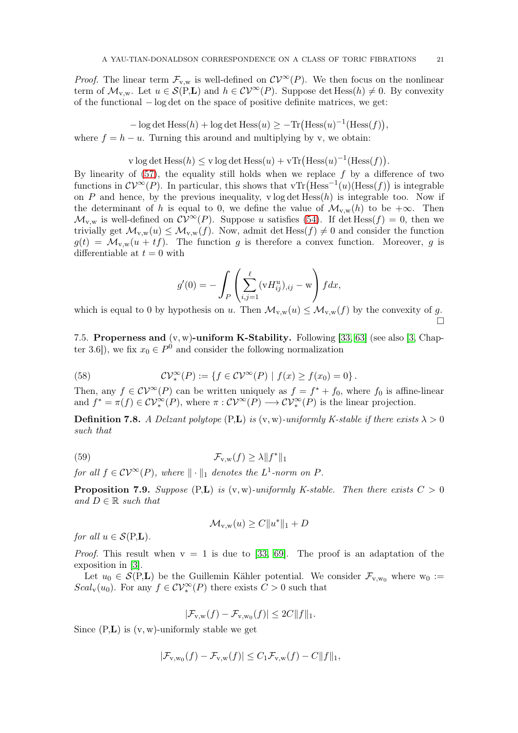*Proof.* The linear term  $\mathcal{F}_{v,w}$  is well-defined on  $\mathcal{CV}^{\infty}(P)$ . We then focus on the nonlinear term of  $\mathcal{M}_{v,w}$ . Let  $u \in \mathcal{S}(P,L)$  and  $h \in \mathcal{CV}^{\infty}(P)$ . Suppose det Hess $(h) \neq 0$ . By convexity of the functional − log det on the space of positive definite matrices, we get:

 $-\log \det \text{Hess}(h) + \log \det \text{Hess}(u) \geq -\text{Tr}(\text{Hess}(u)^{-1}(\text{Hess}(f))),$ where  $f = h - u$ . Turning this around and multiplying by v, we obtain:

v log det Hess
$$
(h)
$$
  $\leq$  v log det Hess $(u)$  + vTr(Hess $(u)$ <sup>-1</sup>(Hess $(f)$ ).

By linearity of  $(57)$ , the equality still holds when we replace f by a difference of two functions in  $\mathcal{CV}^{\infty}(P)$ . In particular, this shows that vTr(Hess<sup>-1</sup>(u)(Hess(f)) is integrable on P and hence, by the previous inequality,  $v \log \det Hess(h)$  is integrable too. Now if the determinant of h is equal to 0, we define the value of  $\mathcal{M}_{v,w}(h)$  to be  $+\infty$ . Then  $\mathcal{M}_{v,w}$  is well-defined on  $\mathcal{CV}^{\infty}(P)$ . Suppose u satisfies [\(54\)](#page-18-3). If det Hess(f) = 0, then we trivially get  $\mathcal{M}_{v,w}(u) \leq \mathcal{M}_{v,w}(f)$ . Now, admit det Hess $(f) \neq 0$  and consider the function  $g(t) = \mathcal{M}_{v,w}(u + tf)$ . The function g is therefore a convex function. Moreover, g is differentiable at  $t = 0$  with

$$
g'(0) = -\int_P \left(\sum_{i,j=1}^{\ell} (vH_{ij}^u)_{,ij} - w\right) f dx,
$$

which is equal to 0 by hypothesis on u. Then  $\mathcal{M}_{v,w}(u) \leq \mathcal{M}_{v,w}(f)$  by the convexity of q.  $\Box$ 

<span id="page-20-0"></span>7.5. Properness and  $(v, w)$ -uniform K-Stability. Following [\[33,](#page-25-4) [63\]](#page-26-8) (see also [\[3,](#page-24-23) Chapter 3.6]), we fix  $x_0 \in P^0$  and consider the following normalization

<span id="page-20-4"></span>(58) 
$$
\mathcal{CV}_*^{\infty}(P) := \{ f \in \mathcal{CV}^{\infty}(P) \mid f(x) \ge f(x_0) = 0 \}.
$$

Then, any  $f \in \mathcal{CV}^{\infty}(P)$  can be written uniquely as  $f = f^* + f_0$ , where  $f_0$  is affine-linear and  $f^* = \pi(f) \in \mathcal{CV}_*^{\infty}(P)$ , where  $\pi : \mathcal{CV}^{\infty}(P) \longrightarrow \mathcal{CV}_*^{\infty}(P)$  is the linear projection.

<span id="page-20-1"></span>**Definition 7.8.** A Delzant polytope  $(P,L)$  is  $(v, w)$ -uniformly K-stable if there exists  $\lambda > 0$ such that

(59) 
$$
\mathcal{F}_{v,w}(f) \ge \lambda \|f^*\|_1
$$

for all  $f \in \mathcal{CV}^{\infty}(P)$ , where  $\|\cdot\|_1$  denotes the  $L^1$ -norm on P.

<span id="page-20-2"></span>**Proposition 7.9.** Suppose (P,L) is  $(v, w)$ -uniformly K-stable. Then there exists  $C > 0$ and  $D \in \mathbb{R}$  such that

<span id="page-20-3"></span>
$$
\mathcal{M}_{v,w}(u) \ge C \|u^*\|_1 + D
$$

for all  $u \in \mathcal{S}(\text{P},L)$ .

*Proof.* This result when  $v = 1$  is due to [\[33,](#page-25-4) [69\]](#page-26-3). The proof is an adaptation of the exposition in [\[3\]](#page-24-23).

Let  $u_0 \in \mathcal{S}(P,L)$  be the Guillemin Kähler potential. We consider  $\mathcal{F}_{v,w_0}$  where  $w_0 :=$  $Scal_{\mathbf{v}}(u_0)$ . For any  $f \in \mathcal{CV}_*^{\infty}(P)$  there exists  $C > 0$  such that

$$
|\mathcal{F}_{v,w}(f) - \mathcal{F}_{v,w_0}(f)| \leq 2C||f||_1.
$$

Since  $(P,L)$  is  $(v, w)$ -uniformly stable we get

$$
|\mathcal{F}_{v,w_0}(f) - \mathcal{F}_{v,w}(f)| \leq C_1 \mathcal{F}_{v,w}(f) - C||f||_1,
$$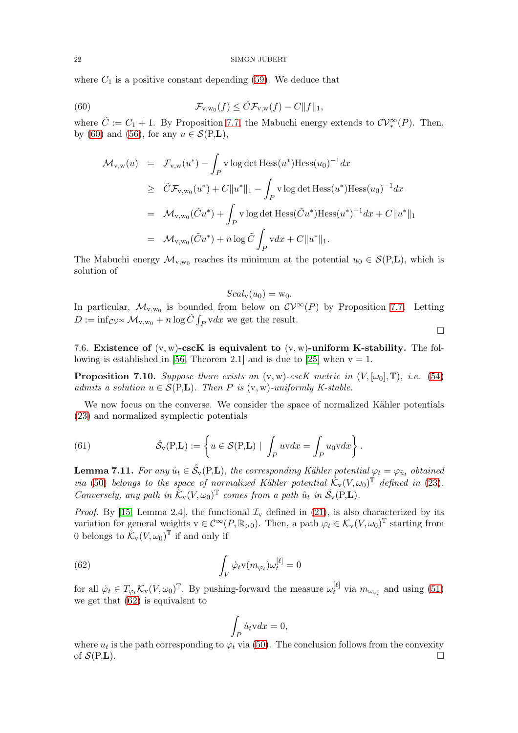where  $C_1$  is a positive constant depending [\(59\)](#page-20-3). We deduce that

(60) 
$$
\mathcal{F}_{v,w_0}(f) \leq \tilde{C} \mathcal{F}_{v,w}(f) - C \|f\|_1,
$$

where  $\tilde{C} := C_1 + 1$ . By Proposition [7.7,](#page-19-5) the Mabuchi energy extends to  $\mathcal{CV}_*^{\infty}(P)$ . Then, by [\(60\)](#page-21-0) and [\(56\)](#page-19-1), for any  $u \in \mathcal{S}(P,L)$ ,

<span id="page-21-0"></span>
$$
\mathcal{M}_{v,w}(u) = \mathcal{F}_{v,w}(u^*) - \int_P v \log \det \text{Hess}(u^*) \text{Hess}(u_0)^{-1} dx
$$
  
\n
$$
\geq \tilde{C} \mathcal{F}_{v,w_0}(u^*) + C \|u^*\|_1 - \int_P v \log \det \text{Hess}(u^*) \text{Hess}(u_0)^{-1} dx
$$
  
\n
$$
= \mathcal{M}_{v,w_0}(\tilde{C}u^*) + \int_P v \log \det \text{Hess}(\tilde{C}u^*) \text{Hess}(u^*)^{-1} dx + C \|u^*\|_1
$$
  
\n
$$
= \mathcal{M}_{v,w_0}(\tilde{C}u^*) + n \log \tilde{C} \int_P v dx + C \|u^*\|_1.
$$

The Mabuchi energy  $\mathcal{M}_{v,w_0}$  reaches its minimum at the potential  $u_0 \in \mathcal{S}(P,L)$ , which is solution of

$$
Scal_{v}(u_{0}) = w_{0}.
$$

In particular,  $\mathcal{M}_{v,w_0}$  is bounded from below on  $\mathcal{CV}^{\infty}(P)$  by Proposition [7](#page-19-5).7. Letting  $D := \inf_{\mathcal{CV}^{\infty}} \mathcal{M}_{v,w_0} + n \log \tilde{C} \int_P v dx$  we get the result.

 $\Box$ 

7.6. Existence of  $(v, w)$ -cscK is equivalent to  $(v, w)$ -uniform K-stability. The fol-lowing is established in [\[56,](#page-25-15) Theorem 2.1] and is due to [\[25\]](#page-24-14) when  $v = 1$ .

<span id="page-21-2"></span>**Proposition 7.10.** Suppose there exists an  $(v, w)$ -cscK metric in  $(V, [\omega_0], \mathbb{T})$ , i.e. [\(54\)](#page-18-3) admits a solution  $u \in \mathcal{S}(P,L)$ . Then P is  $(v, w)$ -uniformly K-stable.

We now focus on the converse. We consider the space of normalized Kähler potentials [\(23\)](#page-9-3) and normalized symplectic potentials

(61) 
$$
\mathring{\mathcal{S}}_{\mathbf{v}}(\mathbf{P},\mathbf{L}):=\left\{u\in\mathcal{S}(\mathbf{P},\mathbf{L})\mid\int_{P}uvdx=\int_{P}u_{0}vdx\right\}.
$$

<span id="page-21-3"></span>**Lemma 7.11.** For any  $\mathring{u}_t \in \mathring{\mathcal{S}}_v(P,L)$ , the corresponding Kähler potential  $\varphi_t = \varphi_{\mathring{u}_t}$  obtained via [\(50\)](#page-18-0) belongs to the space of normalized Kähler potential  $\mathring{\mathcal{K}}_v(V,\omega_0)^\mathbb{T}$  defined in [\(23\)](#page-9-3). Conversely, any path in  $\mathring{\mathcal{K}}_v(V,\omega_0)^\mathbb{T}$  comes from a path  $\mathring{u}_t$  in  $\mathring{\mathcal{S}}_v(P,L)$ .

*Proof.* By [\[15,](#page-24-25) Lemma 2.4], the functional  $\mathcal{I}_{\mathbf{v}}$  defined in [\(21\)](#page-9-0), is also characterized by its variation for general weights  $v \in C^{\infty}(P, \mathbb{R}_{>0})$ . Then, a path  $\varphi_t \in \mathcal{K}_v(V, \omega_0)^\mathbb{T}$  starting from 0 belongs to  $\mathring{\mathcal{K}}_v(V,\omega_0)^\mathbb{T}$  if and only if

(62) 
$$
\int_{V} \dot{\varphi}_{t} v(m_{\varphi_{t}}) \omega_{t}^{[\ell]} = 0
$$

for all  $\dot{\varphi}_t \in T_{\varphi_t} \mathcal{K}_v(V, \omega_0)^\mathbb{T}$ . By pushing-forward the measure  $\omega_t^{[\ell]}$  $t_t^{\lbrack t\rbrack}$  via  $m_{\omega_{\varphi_t}}$  and using  $(51)$ we get that [\(62\)](#page-21-1) is equivalent to

<span id="page-21-1"></span>
$$
\int_P \dot{u}_t \mathbf{v} dx = 0,
$$

where  $u_t$  is the path corresponding to  $\varphi_t$  via [\(50\)](#page-18-0). The conclusion follows from the convexity of  $\mathcal{S}(P,L)$ .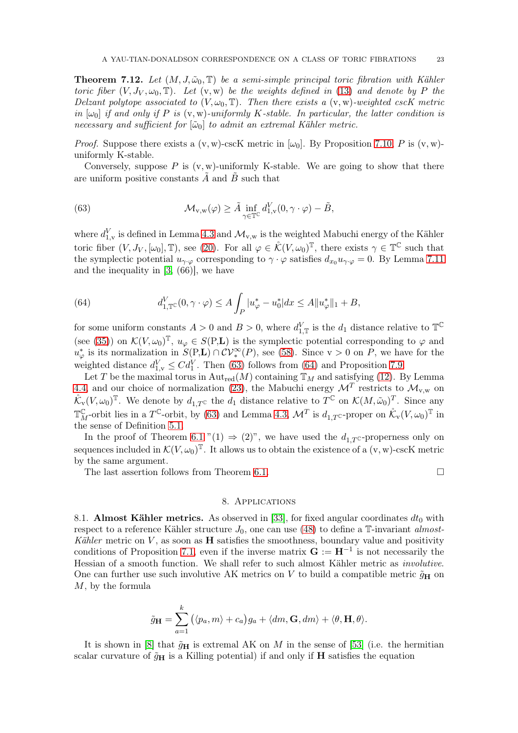<span id="page-22-0"></span>**Theorem 7.12.** Let  $(M, J, \tilde{\omega}_0, \mathbb{T})$  be a semi-simple principal toric fibration with Kähler toric fiber  $(V, J_V, \omega_0, \mathbb{T})$ . Let  $(v, w)$  be the weights defined in [\(13\)](#page-7-0) and denote by P the Delzant polytope associated to  $(V, \omega_0, \mathbb{T})$ . Then there exists a  $(v, w)$ -weighted cscK metric in  $\omega_0$  if and only if P is  $(v, w)$ -uniformly K-stable. In particular, the latter condition is necessary and sufficient for  $[\tilde{\omega}_0]$  to admit an extremal Kähler metric.

*Proof.* Suppose there exists a  $(v, w)$ -cscK metric in  $[\omega_0]$ . By Proposition [7.10,](#page-21-2) P is  $(v, w)$ uniformly K-stable.

Conversely, suppose  $P$  is  $(v, w)$ -uniformly K-stable. We are going to show that there are uniform positive constants  $\tilde{A}$  and  $\tilde{B}$  such that

<span id="page-22-2"></span>(63) 
$$
\mathcal{M}_{v,w}(\varphi) \geq \tilde{A} \inf_{\gamma \in \mathbb{T}^C} d_{1,v}^V(0, \gamma \cdot \varphi) - \tilde{B},
$$

where  $d_{1,v}^V$  is defined in Lemma [4.3](#page-8-2) and  $\mathcal{M}_{v,w}$  is the weighted Mabuchi energy of the Kähler toric fiber  $(V, J_V, [\omega_0], \mathbb{T})$ , see [\(20\)](#page-8-3). For all  $\varphi \in \mathring{\mathcal{K}}(V, \omega_0)^{\mathbb{T}}$ , there exists  $\gamma \in \mathbb{T}^{\mathbb{C}}$  such that the symplectic potential  $u_{\gamma \cdot \varphi}$  corresponding to  $\gamma \cdot \varphi$  satisfies  $d_{x_0} u_{\gamma \cdot \varphi} = 0$ . By Lemma 7.[11](#page-21-3) and the inequality in [\[3,](#page-24-23) (66)], we have

<span id="page-22-3"></span>(64) 
$$
d_{1,\mathbb{T}}^V(0,\gamma\cdot\varphi)\leq A\int_P |u_\varphi^*-u_0^*|dx\leq A||u_\varphi^*||_1+B,
$$

for some uniform constants  $A > 0$  and  $B > 0$ , where  $d_{1,\mathbb{T}}^V$  is the  $d_1$  distance relative to  $\mathbb{T}^{\mathbb{C}}$ (see [\(35\)](#page-12-4)) on  $\mathcal{K}(V, \omega_0)^\mathbb{T}$ ,  $u_\varphi \in S(P, \mathbf{L})$  is the symplectic potential corresponding to  $\varphi$  and  $u_{\varphi}^*$  is its normalization in  $S(P,L) \cap CV_*^{\infty}(P)$ , see [\(58\)](#page-20-4). Since  $v > 0$  on P, we have for the weighted distance  $d_{1,v}^V \leq C d_1^V$ . Then [\(63\)](#page-22-2) follows from [\(64\)](#page-22-3) and Proposition [7.9.](#page-20-2)

Let T be the maximal torus in  $\text{Aut}_{\text{red}}(M)$  containing  $\mathbb{T}_M$  and satisfying [\(12\)](#page-6-6). By Lemma [4.4,](#page-8-4) and our choice of normalization [\(23\)](#page-9-3), the Mabuchi energy  $\mathcal{M}^T$  restricts to  $\mathcal{M}_{v,w}$  on  $\mathring{\mathcal{K}}_v(V,\omega_0)^\mathbb{T}$ . We denote by  $d_{1,T}$ c the  $d_1$  distance relative to  $T^{\mathbb{C}}$  on  $\mathcal{K}(M,\tilde{\omega}_0)^T$ . Since any  $\mathbb{T}^{\mathbb{C}}_{M}$ -orbit lies in a  $T^{\mathbb{C}}$ -orbit, by [\(63\)](#page-22-2) and Lemma [4.3,](#page-8-2)  $\mathcal{M}^{T}$  is  $d_{1,T^{\mathbb{C}}}$ -proper on  $\mathcal{K}_{\mathbf{v}}(V,\omega_{0})^{\mathbb{T}}$  in the sense of Definition [5.1.](#page-12-5)

In the proof of Theorem [6.1](#page-12-0) "(1)  $\Rightarrow$  (2)", we have used the  $d_{1,T}$  c-properness only on sequences included in  $\mathcal{K}(V, \omega_0)^\mathbb{T}$ . It allows us to obtain the existence of a  $(v, w)$ -cscK metric by the same argument.

<span id="page-22-1"></span>The last assertion follows from Theorem [6.1.](#page-12-0)

## 8. Applications

8.1. Almost Kähler metrics. As observed in [\[33\]](#page-25-4), for fixed angular coordinates  $dt_0$  with respect to a reference Kähler structure  $J_0$ , one can use [\(48\)](#page-17-0) to define a T-invariant almost-Kähler metric on  $V$ , as soon as  $H$  satisfies the smoothness, boundary value and positivity conditions of Proposition [7.1,](#page-17-1) even if the inverse matrix  $\mathbf{G} := \mathbf{H}^{-1}$  is not necessarily the Hessian of a smooth function. We shall refer to such almost Kähler metric as involutive. One can further use such involutive AK metrics on V to build a compatible metric  $\tilde{g}_{\mathbf{H}}$  on M, by the formula

$$
\tilde{g}_{\mathbf{H}} = \sum_{a=1}^{k} (\langle p_a, m \rangle + c_a) g_a + \langle dm, \mathbf{G}, dm \rangle + \langle \theta, \mathbf{H}, \theta \rangle.
$$

It is shown in [\[8\]](#page-24-10) that  $\tilde{g}_{\mathbf{H}}$  is extremal AK on M in the sense of [\[53\]](#page-25-16) (i.e. the hermitian scalar curvature of  $\tilde{g}_{\mathbf{H}}$  is a Killing potential) if and only if  $\mathbf{H}$  satisfies the equation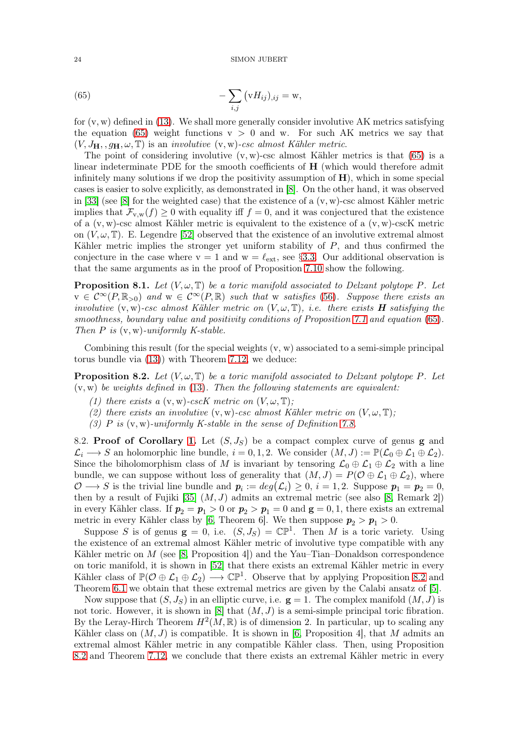<span id="page-23-1"></span>(65) 
$$
-\sum_{i,j} \left(\mathbf{v} H_{ij}\right)_{,ij} = \mathbf{w},
$$

for  $(v, w)$  defined in [\(13\)](#page-7-0). We shall more generally consider involutive AK metrics satisfying the equation [\(65\)](#page-23-1) weight functions  $v > 0$  and w. For such AK metrics we say that  $(V, J_H, g_H, \omega, \mathbb{T})$  is an *involutive*  $(v, w)$ -csc almost Kähler metric.

The point of considering involutive  $(v, w)$ -csc almost Kähler metrics is that  $(65)$  is a linear indeterminate PDE for the smooth coefficients of H (which would therefore admit infinitely many solutions if we drop the positivity assumption of  $H$ ), which in some special cases is easier to solve explicitly, as demonstrated in [\[8\]](#page-24-10). On the other hand, it was observed in [\[33\]](#page-25-4) (see [\[8\]](#page-24-10) for the weighted case) that the existence of a  $(v, w)$ -csc almost Kähler metric implies that  $\mathcal{F}_{v,w}(f) \geq 0$  with equality iff  $f = 0$ , and it was conjectured that the existence of a (v, w)-csc almost Kähler metric is equivalent to the existence of a (v, w)-cscK metric on  $(V, \omega, \mathbb{T})$ . E. Legendre [\[52\]](#page-25-17) observed that the existence of an involutive extremal almost Kähler metric implies the stronger yet uniform stability of P, and thus confirmed the conjecture in the case where  $v = 1$  and  $w = \ell_{ext}$ , see §[3](#page-6-4).3. Our additional observation is that the same arguments as in the proof of Proposition 7.[10](#page-21-2) show the following.

**Proposition 8.1.** Let  $(V, \omega, \mathbb{T})$  be a toric manifold associated to Delzant polytope P. Let  $v \in C^{\infty}(P,\mathbb{R}_{>0})$  and  $w \in C^{\infty}(P,\mathbb{R})$  such that w satisfies [\(56\)](#page-19-1). Suppose there exists an involutive  $(v, w)$ -csc almost Kähler metric on  $(V, \omega, T)$ , i.e. there exists **H** satisfying the smoothness, boundary value and positivity conditions of Proposition [7.1](#page-17-1) and equation [\(65\)](#page-23-1). Then  $P$  is  $(v, w)$ -uniformly K-stable.

Combining this result (for the special weights  $(v, w)$  associated to a semi-simple principal torus bundle via [\(13\)](#page-7-0)) with Theorem [7.12,](#page-22-0) we deduce:

<span id="page-23-0"></span>**Proposition 8.2.** Let  $(V, \omega, \mathbb{T})$  be a toric manifold associated to Delzant polytope P. Let  $(v, w)$  be weights defined in [\(13\)](#page-7-0). Then the following statements are equivalent:

- (1) there exists a  $(v, w)$ -cscK metric on  $(V, \omega, \mathbb{T});$
- (2) there exists an involutive  $(v, w)$ -csc almost Kähler metric on  $(V, \omega, T)$ ;
- (3)  $P$  is  $(v, w)$ -uniformly K-stable in the sense of Definition [7.8.](#page-20-1)

8.2. Proof of Corollary [1.](#page-2-2) Let  $(S, J_S)$  be a compact complex curve of genus **g** and  $\mathcal{L}_i \longrightarrow S$  an holomorphic line bundle,  $i = 0, 1, 2$ . We consider  $(M, J) := \mathbb{P}(\mathcal{L}_0 \oplus \mathcal{L}_1 \oplus \mathcal{L}_2)$ . Since the biholomorphism class of M is invariant by tensoring  $\mathcal{L}_0 \oplus \mathcal{L}_1 \oplus \mathcal{L}_2$  with a line bundle, we can suppose without loss of generality that  $(M, J) = P(\mathcal{O} \oplus \mathcal{L}_1 \oplus \mathcal{L}_2)$ , where  $\mathcal{O} \longrightarrow S$  is the trivial line bundle and  $p_i := deg(\mathcal{L}_i) \geq 0, i = 1, 2$ . Suppose  $p_1 = p_2 = 0$ , then by a result of Fujiki [\[35\]](#page-25-30)  $(M, J)$  admits an extremal metric (see also [\[8,](#page-24-10) Remark 2]) in every Kähler class. If  $p_2 = p_1 > 0$  or  $p_2 > p_1 = 0$  and  $g = 0, 1$ , there exists an extremal metric in every Kähler class by [\[6,](#page-24-9) Theorem 6]. We then suppose  $p_2 > p_1 > 0$ .

Suppose S is of genus  $g = 0$ , i.e.  $(S, J_S) = \mathbb{CP}^1$ . Then M is a toric variety. Using the existence of an extremal almost Kähler metric of involutive type compatible with any Kähler metric on M (see [\[8,](#page-24-10) Proposition 4]) and the Yau–Tian–Donaldson correspondence on toric manifold, it is shown in [\[52\]](#page-25-17) that there exists an extremal Kähler metric in every Kähler class of  $\mathbb{P}(\mathcal{O}\oplus \mathcal{L}_1\oplus \mathcal{L}_2)\longrightarrow \mathbb{CP}^1$ . Observe that by applying Proposition [8.2](#page-23-0) and Theorem [6.1](#page-12-0) we obtain that these extremal metrics are given by the Calabi ansatz of [\[5\]](#page-24-11).

Now suppose that  $(S, J_S)$  in an elliptic curve, i.e.  $g = 1$ . The complex manifold  $(M, J)$  is not toric. However, it is shown in [\[8\]](#page-24-10) that  $(M, J)$  is a semi-simple principal toric fibration. By the Leray-Hirch Theorem  $H^2(M,\mathbb{R})$  is of dimension 2. In particular, up to scaling any Kähler class on  $(M, J)$  is compatible. It is shown in [\[6,](#page-24-9) Proposition 4], that M admits an extremal almost Kähler metric in any compatible Kähler class. Then, using Proposition [8.2](#page-23-0) and Theorem [7.12,](#page-22-0) we conclude that there exists an extremal Kähler metric in every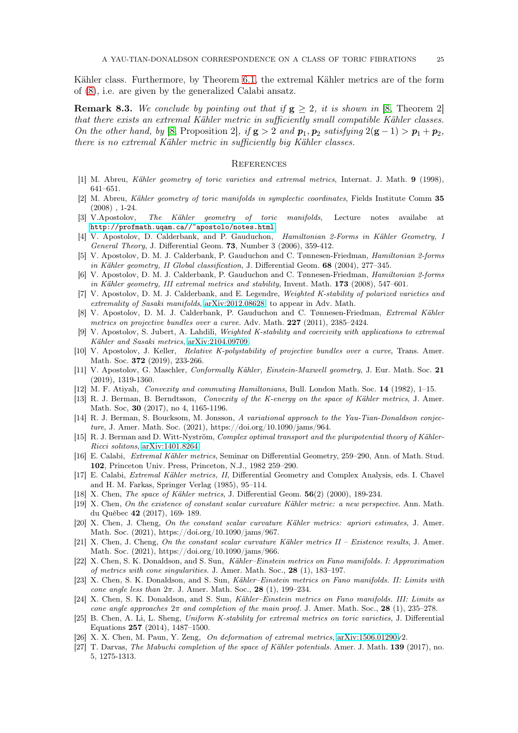Kähler class. Furthermore, by Theorem [6.1,](#page-12-0) the extremal Kähler metrics are of the form of [\(8\)](#page-5-1), i.e. are given by the generalized Calabi ansatz.

**Remark 8.3.** We conclude by pointing out that if  $g \geq 2$ , it is shown in [\[8,](#page-24-10) Theorem 2] that there exists an extremal Kähler metric in sufficiently small compatible Kähler classes. On the other hand, by [\[8,](#page-24-10) Proposition 2], if  $g > 2$  and  $p_1, p_2$  satisfying  $2(g-1) > p_1 + p_2$ , there is no extremal Kähler metric in sufficiently big Kähler classes.

## **REFERENCES**

- <span id="page-24-24"></span><span id="page-24-17"></span>[1] M. Abreu, Kähler geometry of toric varieties and extremal metrics, Internat. J. Math. 9 (1998), 641–651.
- [2] M. Abreu, Kähler geometry of toric manifolds in symplectic coordinates, Fields Institute Comm 35 (2008) , 1-24.
- <span id="page-24-23"></span>[3] V.Apostolov, The Kähler geometry of toric manifolds, Lecture notes availabe at <http://profmath.uqam.ca//~apostolo/notes.html>.
- <span id="page-24-18"></span>[4] V. Apostolov, D. Calderbank, and P. Gauduchon, Hamiltonian 2-Forms in Kähler Geometry, I General Theory, J. Differential Geom. 73, Number 3 (2006), 359-412.
- <span id="page-24-11"></span>[5] V. Apostolov, D. M. J. Calderbank, P. Gauduchon and C. Tønnesen-Friedman, Hamiltonian 2-forms in Kähler geometry, II Global classification, J. Differential Geom. 68 (2004), 277–345.
- <span id="page-24-9"></span>[6] V. Apostolov, D. M. J. Calderbank, P. Gauduchon and C. Tønnesen-Friedman, Hamiltonian 2-forms in Kähler geometry, III extremal metrics and stability, Invent. Math. 173 (2008), 547–601.
- <span id="page-24-2"></span>[7] V. Apostolov, D. M. J. Calderbank, and E. Legendre, Weighted K-stability of polarized varieties and extremality of Sasaki manifolds, [arXiv:2012.08628,](http://arxiv.org/abs/2012.08628) to appear in Adv. Math.
- <span id="page-24-10"></span>[8] V. Apostolov, D. M. J. Calderbank, P. Gauduchon and C. Tønnesen-Friedman, Extremal Kähler metrics on projective bundles over a curve. Adv. Math. 227 (2011), 2385–2424.
- <span id="page-24-13"></span>[9] V. Apostolov, S. Jubert, A. Lahdili, Weighted K-stability and coercivity with applications to extremal Kähler and Sasaki metrics, [arXiv:2104.09709.](http://arxiv.org/abs/2104.09709)
- [10] V. Apostolov, J. Keller, Relative K-polystability of projective bundles over a curve, Trans. Amer. Math. Soc. **372** (2019), 233-266.
- <span id="page-24-16"></span>[11] V. Apostolov, G. Maschler, Conformally Kähler, Einstein-Maxwell geometry, J. Eur. Math. Soc. 21 (2019), 1319-1360.
- <span id="page-24-21"></span><span id="page-24-15"></span>[12] M. F. Atiyah, Convexity and commuting Hamiltonians, Bull. London Math. Soc. 14 (1982), 1–15.
- [13] R. J. Berman, B. Berndtsson, Convexity of the K-energy on the space of Kähler metrics, J. Amer. Math. Soc, 30 (2017), no 4, 1165-1196.
- <span id="page-24-5"></span>[14] R. J. Berman, S. Boucksom, M. Jonsson, A variational approach to the Yau-Tian-Donaldson conjecture, J. Amer. Math. Soc. (2021), https://doi.org/10.1090/jams/964.
- <span id="page-24-25"></span>[15] R. J. Berman and D. Witt-Nyström, Complex optimal transport and the pluripotential theory of Kähler-Ricci solitons, [arXiv:1401.8264.](http://arxiv.org/abs/1401.8264)
- <span id="page-24-0"></span>[16] E. Calabi, Extremal Kähler metrics, Seminar on Differential Geometry, 259–290, Ann. of Math. Stud. 102, Princeton Univ. Press, Princeton, N.J., 1982 259–290.
- <span id="page-24-1"></span>[17] E. Calabi, Extremal Kähler metrics, II, Differential Geometry and Complex Analysis, eds. I. Chavel and H. M. Farkas, Springer Verlag (1985), 95–114.
- <span id="page-24-20"></span><span id="page-24-12"></span>[18] X. Chen, The space of Kähler metrics, J. Differential Geom.  $56(2)$  (2000), 189-234.
- [19] X. Chen, On the existence of constant scalar curvature Kähler metric: a new perspective. Ann. Math. du Québec 42 (2017), 169- 189.
- <span id="page-24-3"></span>[20] X. Chen, J. Cheng, On the constant scalar curvature Kähler metrics: apriori estimates, J. Amer. Math. Soc. (2021), https://doi.org/10.1090/jams/967.
- <span id="page-24-4"></span>[21] X. Chen, J. Cheng, On the constant scalar curvature Kähler metrics II – Existence results, J. Amer. Math. Soc. (2021), https://doi.org/10.1090/jams/966.
- <span id="page-24-6"></span>[22] X. Chen, S. K. Donaldson, and S. Sun, Kähler–Einstein metrics on Fano manifolds. I: Approximation of metrics with cone singularities. J. Amer. Math. Soc., 28 (1), 183–197.
- <span id="page-24-7"></span>[23] X. Chen, S. K. Donaldson, and S. Sun, Kähler–Einstein metrics on Fano manifolds. II: Limits with cone angle less than  $2\pi$ . J. Amer. Math. Soc., 28 (1), 199–234.
- <span id="page-24-8"></span>[24] X. Chen, S. K. Donaldson, and S. Sun, Kähler–Einstein metrics on Fano manifolds. III: Limits as cone angle approaches  $2\pi$  and completion of the main proof. J. Amer. Math. Soc., 28 (1), 235–278.
- <span id="page-24-14"></span>[25] B. Chen, A. Li, L. Sheng, Uniform K-stability for extremal metrics on toric varieties, J. Differential Equations 257 (2014), 1487–1500.
- <span id="page-24-22"></span><span id="page-24-19"></span>[26] X. X. Chen, M. Paun, Y. Zeng, On deformation of extremal metrics, [arXiv:1506.01290v](http://arxiv.org/abs/1506.01290)2.
- [27] T. Darvas, The Mabuchi completion of the space of Kähler potentials. Amer. J. Math. 139 (2017), no. 5, 1275-1313.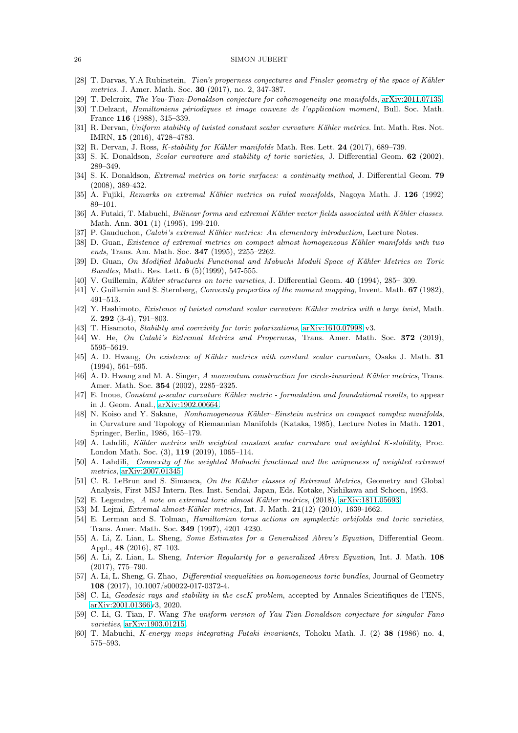- <span id="page-25-8"></span><span id="page-25-1"></span>[28] T. Darvas, Y.A Rubinstein, Tian's properness conjectures and Finsler geometry of the space of Kähler metrics. J. Amer. Math. Soc. 30 (2017), no. 2, 347-387.
- <span id="page-25-20"></span>[29] T. Delcroix, The Yau-Tian-Donaldson conjecture for cohomogeneity one manifolds, [arXiv:2011.07135.](http://arxiv.org/abs/2011.07135)
- <span id="page-25-9"></span>[30] T.Delzant, Hamiltoniens périodiques et image convexe de l'application moment, Bull. Soc. Math. France 116 (1988), 315–339.
- [31] R. Dervan, Uniform stability of twisted constant scalar curvature Kähler metrics. Int. Math. Res. Not. IMRN, 15 (2016), 4728–4783.
- <span id="page-25-4"></span><span id="page-25-0"></span>[32] R. Dervan, J. Ross, *K-stability for Kähler manifolds* Math. Res. Lett. 24 (2017), 689–739.
- <span id="page-25-27"></span>[33] S. K. Donaldson, *Scalar curvature and stability of toric varieties*, J. Differential Geom. 62 (2002), 289–349.
- <span id="page-25-30"></span>[34] S. K. Donaldson, *Extremal metrics on toric surfaces: a continuity method*, J. Differential Geom. **79** (2008), 389-432.
- <span id="page-25-21"></span>[35] A. Fujiki, Remarks on extremal Kähler metrics on ruled manifolds, Nagoya Math. J. 126 (1992) 89–101.
- [36] A. Futaki, T. Mabuchi, Bilinear forms and extremal Kähler vector fields associated with Kähler classes. Math. Ann. 301 (1) (1995), 199-210.
- <span id="page-25-18"></span><span id="page-25-10"></span>[37] P. Gauduchon, *Calabi's extremal Kähler metrics: An elementary introduction*, Lecture Notes.
- [38] D. Guan, Existence of extremal metrics on compact almost homogeneous Kähler manifolds with two ends, Trans. Am. Math. Soc. 347 (1995), 2255–2262.
- <span id="page-25-23"></span>[39] D. Guan, On Modified Mabuchi Functional and Mabuchi Moduli Space of Kähler Metrics on Toric Bundles, Math. Res. Lett. 6 (5)(1999), 547-555.
- <span id="page-25-26"></span><span id="page-25-19"></span>[40] V. Guillemin, Kähler structures on toric varieties, J. Differential Geom. 40 (1994), 285– 309.
- <span id="page-25-24"></span>[41] V. Guillemin and S. Sternberg, Convexity properties of the moment mapping, Invent. Math. 67 (1982), 491–513.
- [42] Y. Hashimoto, Existence of twisted constant scalar curvature Kähler metrics with a large twist, Math. Z. 292 (3-4), 791–803.
- <span id="page-25-14"></span><span id="page-25-5"></span>[43] T. Hisamoto, Stability and coercivity for toric polarizations, [arXiv:1610.07998](http://arxiv.org/abs/1610.07998) v3.
- <span id="page-25-11"></span>[44] W. He, On Calabi's Extremal Metrics and Properness, Trans. Amer. Math. Soc. 372 (2019), 5595–5619.
- [45] A. D. Hwang, On existence of Kähler metrics with constant scalar curvature, Osaka J. Math. 31 (1994), 561–595.
- <span id="page-25-12"></span>[46] A. D. Hwang and M. A. Singer, A momentum construction for circle-invariant Kähler metrics, Trans. Amer. Math. Soc. 354 (2002), 2285–2325.
- <span id="page-25-2"></span>[47] E. Inoue, Constant  $\mu$ -scalar curvature Kähler metric - formulation and foundational results, to appear in J. Geom. Anal., [arXiv:1902.00664.](http://arxiv.org/abs/1902.00664)
- <span id="page-25-13"></span>[48] N. Koiso and Y. Sakane, Nonhomogeneous Kähler–Einstein metrics on compact complex manifolds, in Curvature and Topology of Riemannian Manifolds (Kataka, 1985), Lecture Notes in Math. 1201, Springer, Berlin, 1986, 165–179.
- <span id="page-25-3"></span>[49] A. Lahdili, Kähler metrics with weighted constant scalar curvature and weighted K-stability, Proc. London Math. Soc. (3), 119 (2019), 1065–114.
- <span id="page-25-25"></span>[50] A. Lahdili, Convexity of the weighted Mabuchi functional and the uniqueness of weighted extremal metrics, [arXiv:2007.01345.](http://arxiv.org/abs/2007.01345)
- [51] C. R. LeBrun and S. Simanca, On the Kähler classes of Extremal Metrics, Geometry and Global Analysis, First MSJ Intern. Res. Inst. Sendai, Japan, Eds. Kotake, Nishikawa and Schoen, 1993.
- <span id="page-25-17"></span><span id="page-25-16"></span>[52] E. Legendre, A note on extremal toric almost Kähler metrics, (2018), [arXiv:1811.05693.](http://arxiv.org/abs/1811.05693)
- [53] M. Lejmi, Extremal almost-Kähler metrics, Int. J. Math. 21(12) (2010), 1639-1662.
- [54] E. Lerman and S. Tolman, Hamiltonian torus actions on symplectic orbifolds and toric varieties, Trans. Amer. Math. Soc. 349 (1997), 4201–4230.
- <span id="page-25-28"></span>[55] A. Li, Z. Lian, L. Sheng, Some Estimates for a Generalized Abreu's Equation, Differential Geom. Appl., 48 (2016), 87–103.
- <span id="page-25-15"></span>[56] A. Li, Z. Lian, L. Sheng, Interior Regularity for a generalized Abreu Equation, Int. J. Math. 108 (2017), 775–790.
- <span id="page-25-29"></span>[57] A. Li, L. Sheng, G. Zhao, *Differential inequalities on homogeneous toric bundles*, Journal of Geometry 108 (2017), 10.1007/s00022-017-0372-4.
- <span id="page-25-6"></span>[58] C. Li, Geodesic rays and stability in the cscK problem, accepted by Annales Scientifiques de l'ENS, [arXiv:2001.01366v](http://arxiv.org/abs/2001.01366)3, 2020.
- <span id="page-25-7"></span>[59] C. Li, G. Tian, F. Wang The uniform version of Yau-Tian-Donaldson conjecture for singular Fano varieties, [arXiv:1903.01215.](http://arxiv.org/abs/1903.01215)
- <span id="page-25-22"></span>[60] T. Mabuchi, K-energy maps integrating Futaki invariants, Tohoku Math. J. (2) 38 (1986) no. 4, 575–593.